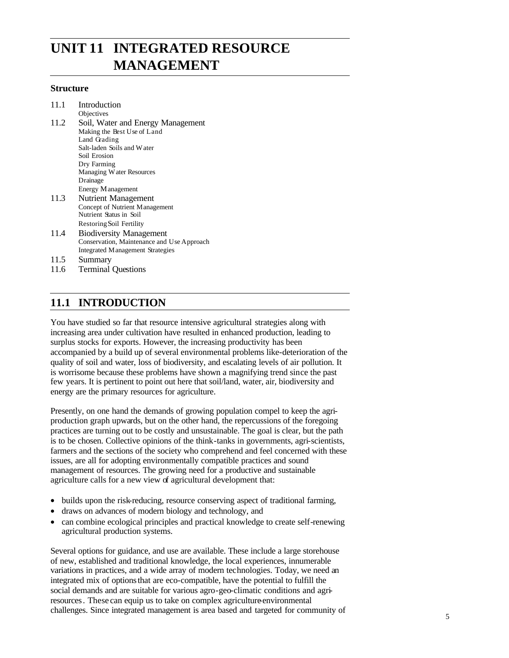# **UNIT 11 INTEGRATED RESOURCE MANAGEMENT**

#### **Structure**

| 11.1 | Introduction                      |
|------|-----------------------------------|
|      | Objectives                        |
| 11.2 | Soil, Water and Energy Management |
|      | Making the Best Use of Land       |
|      | Land Grading                      |
|      | Salt-laden Soils and Water        |
|      | Soil Erosion                      |
|      | Dry Farming                       |
|      | Managing Water Resources          |
|      | Drainage                          |
|      | Energy Management                 |
| 11.3 | Nutrient Management               |
|      | Concept of Nutrient Management    |
|      | Nutrient Status in Soil           |
|      | Restoring Soil Fertility          |
|      |                                   |

- 11.4 Biodiversity Management Conservation, Maintenance and Use Approach Integrated Management Strategies
- 11.5 Summary
- 11.6 Terminal Questions

## **11.1 INTRODUCTION**

You have studied so far that resource intensive agricultural strategies along with increasing area under cultivation have resulted in enhanced production, leading to surplus stocks for exports. However, the increasing productivity has been accompanied by a build up of several environmental problems like-deterioration of the quality of soil and water, loss of biodiversity, and escalating levels of air pollution. It is worrisome because these problems have shown a magnifying trend since the past few years. It is pertinent to point out here that soil/land, water, air, biodiversity and energy are the primary resources for agriculture.

Presently, on one hand the demands of growing population compel to keep the agriproduction graph upwards, but on the other hand, the repercussions of the foregoing practices are turning out to be costly and unsustainable. The goal is clear, but the path is to be chosen. Collective opinions of the think-tanks in governments, agri-scientists, farmers and the sections of the society who comprehend and feel concerned with these issues, are all for adopting environmentally compatible practices and sound management of resources. The growing need for a productive and sustainable agriculture calls for a new view of agricultural development that:

- builds upon the risk-reducing, resource conserving aspect of traditional farming,
- draws on advances of modern biology and technology, and
- can combine ecological principles and practical knowledge to create self-renewing agricultural production systems.

Several options for guidance, and use are available. These include a large storehouse of new, established and traditional knowledge, the local experiences, innumerable variations in practices, and a wide array of modern technologies. Today, we need an integrated mix of optionsthat are eco-compatible, have the potential to fulfill the social demands and are suitable for various agro-geo-climatic conditions and agriresources. These can equip us to take on complex agriculture-environmental challenges. Since integrated management is area based and targeted for community of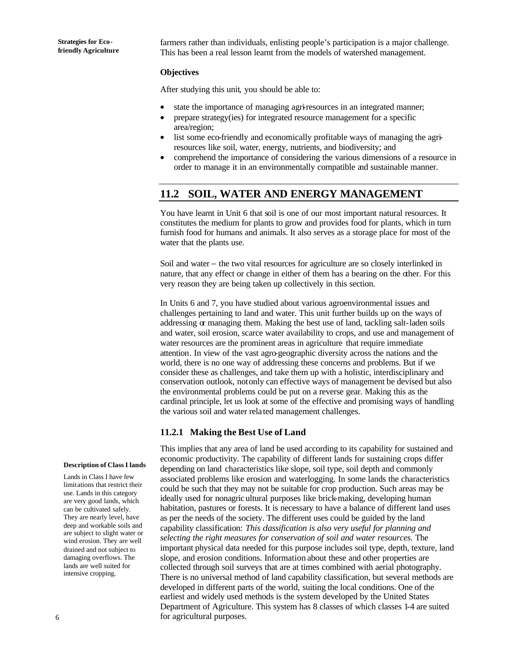farmers rather than individuals, enlisting people's participation is a major challenge. This has been a real lesson learnt from the models of watershed management.

#### **Objectives**

After studying this unit, you should be able to:

- state the importance of managing agri-resources in an integrated manner;
- prepare strategy(ies) for integrated resource management for a specific area/region;
- list some eco-friendly and economically profitable ways of managing the agriresources like soil, water, energy, nutrients, and biodiversity; and
- comprehend the importance of considering the various dimensions of a resource in order to manage it in an environmentally compatible and sustainable manner.

## **11.2 SOIL, WATER AND ENERGY MANAGEMENT**

You have learnt in Unit 6 that soil is one of our most important natural resources. It constitutes the medium for plants to grow and provides food for plants, which in turn furnish food for humans and animals. It also serves as a storage place for most of the water that the plants use.

Soil and water − the two vital resources for agriculture are so closely interlinked in nature, that any effect or change in either of them has a bearing on the other. For this very reason they are being taken up collectively in this section.

In Units 6 and 7, you have studied about various agroenvironmental issues and challenges pertaining to land and water. This unit further builds up on the ways of addressing or managing them. Making the best use of land, tackling salt-laden soils and water, soil erosion, scarce water availability to crops, and use and management of water resources are the prominent areas in agriculture that require immediate attention. In view of the vast agro-geographic diversity across the nations and the world, there is no one way of addressing these concerns and problems. But if we consider these as challenges, and take them up with a holistic, interdisciplinary and conservation outlook, not only can effective ways of management be devised but also the environmental problems could be put on a reverse gear. Making this as the cardinal principle, let us look at some of the effective and promising ways of handling the various soil and water rela ted management challenges.

## **11.2.1 Making the Best Use of Land**

This implies that any area of land be used according to its capability for sustained and economic productivity. The capability of different lands for sustaining crops differ depending on land characteristics like slope, soil type, soil depth and commonly associated problems like erosion and waterlogging. In some lands the characteristics could be such that they may not be suitable for crop production. Such areas may be ideally used for nonagricultural purposes like brick-making, developing human habitation, pastures or forests. It is necessary to have a balance of different land uses as per the needs of the society. The different uses could be guided by the land capability classification: *This classification is also very useful for planning and selecting the right measures for conservation of soil and water resources.* The important physical data needed for this purpose includes soil type, depth, texture, land slope, and erosion conditions. Information about these and other properties are collected through soil surveys that are at times combined with aerial photography. There is no universal method of land capability classification, but several methods are developed in different parts of the world, suiting the local conditions. One of the earliest and widely used methods is the system developed by the United States Department of Agriculture. This system has 8 classes of which classes 1-4 are suited for agricultural purposes.

#### **Description of Class I lands**

Lands in Class I have few limitations that restrict their use. Lands in this category are very good lands, which can be cultivated safely. They are nearly level, have deep and workable soils and are subject to slight water or wind erosion. They are well drained and not subject to damaging overflows. The lands are well suited for intensive cropping.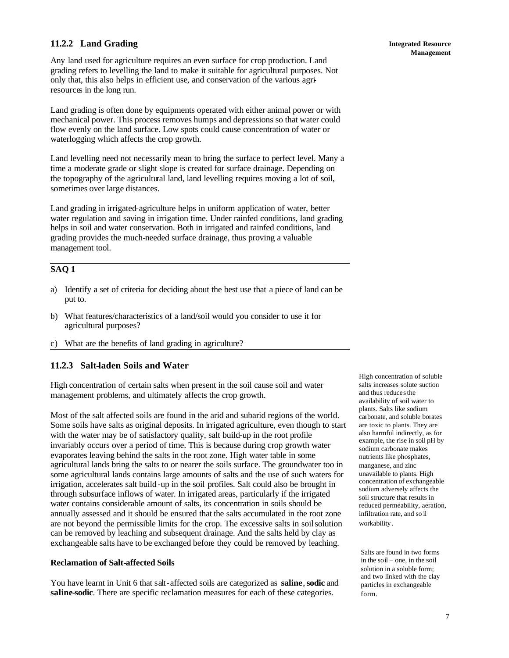## **11.2.2 Land Grading**

Any land used for agriculture requires an even surface for crop production. Land grading refers to levelling the land to make it suitable for agricultural purposes. Not only that, this also helps in efficient use, and conservation of the various agriresources in the long run.

Land grading is often done by equipments operated with either animal power or with mechanical power. This process removes humps and depressions so that water could flow evenly on the land surface. Low spots could cause concentration of water or waterlogging which affects the crop growth.

Land levelling need not necessarily mean to bring the surface to perfect level. Many a time a moderate grade or slight slope is created for surface drainage. Depending on the topography of the agricultural land, land levelling requires moving a lot of soil, sometimes over large distances.

Land grading in irrigated-agriculture helps in uniform application of water, better water regulation and saving in irrigation time. Under rainfed conditions, land grading helps in soil and water conservation. Both in irrigated and rainfed conditions, land grading provides the much-needed surface drainage, thus proving a valuable management tool.

## **SAQ 1**

- a) Identify a set of criteria for deciding about the best use that a piece of land can be put to.
- b) What features/characteristics of a land/soil would you consider to use it for agricultural purposes?
- c) What are the benefits of land grading in agriculture?

## **11.2.3 Salt-laden Soils and Water**

High concentration of certain salts when present in the soil cause soil and water management problems, and ultimately affects the crop growth.

Most of the salt affected soils are found in the arid and subarid regions of the world. Some soils have salts as original deposits. In irrigated agriculture, even though to start with the water may be of satisfactory quality, salt build-up in the root profile invariably occurs over a period of time. This is because during crop growth water evaporates leaving behind the salts in the root zone. High water table in some agricultural lands bring the salts to or nearer the soils surface. The groundwater too in some agricultural lands contains large amounts of salts and the use of such waters for irrigation, accelerates salt build -up in the soil profiles. Salt could also be brought in through subsurface inflows of water. In irrigated areas, particularly if the irrigated water contains considerable amount of salts, its concentration in soils should be annually assessed and it should be ensured that the salts accumulated in the root zone are not beyond the permissible limits for the crop. The excessive salts in soilsolution can be removed by leaching and subsequent drainage. And the salts held by clay as exchangeable salts have to be exchanged before they could be removed by leaching.

### **Reclamation of Salt-affected Soils**

You have learnt in Unit 6 that salt-affected soils are categorized as **saline**,**sodic** and **saline-sodic**. There are specific reclamation measures for each of these categories.

High concentration of soluble salts increases solute suction and thus reduces the availability of soil water to plants. Salts like sodium carbonate, and soluble borates are toxic to plants. They are also harmful indirectly, as for example, the rise in soil pH by sodium carbonate makes nutrients like phosphates, manganese, and zinc unavailable to plants. High concentration of exchangeable sodium adversely affects the soil structure that results in reduced permeability, aeration, infiltration rate, and so il workability.

Salts are found in two forms in the soil – one, in the soil solution in a soluble form; and two linked with the clay particles in exchangeable form.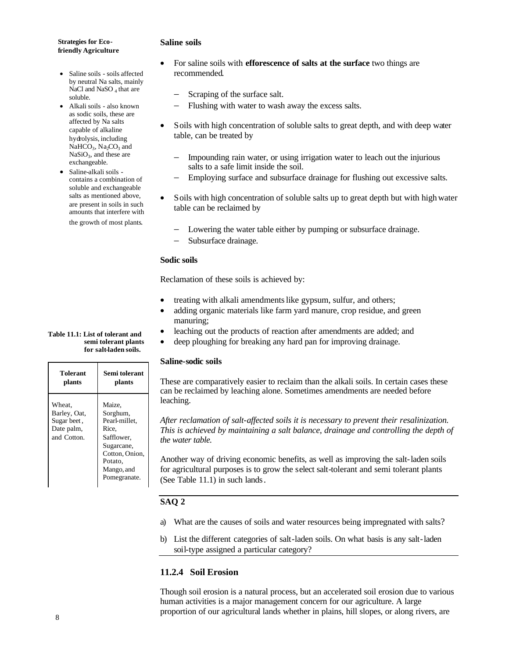#### **Saline soils**

- Saline soils soils affected by neutral Na salts, mainly NaCl and NaSO<sub>4</sub> that are soluble.
- Alkali soils also known as sodic soils, these are affected by Na salts capable of alkaline hydrolysis, including  $NaHCO<sub>3</sub>, Na<sub>2</sub>CO<sub>3</sub>$  and  $NaSiO<sub>3</sub>$ , and these are exchangeable.
- Saline-alkali soils contains a combination of soluble and exchangeable salts as mentioned above, are present in soils in such amounts that interfere with the growth of most plants.

#### **Table 11.1: List of tolerant and semi tolerant plants for salt-laden soils.**

| <b>Tolerant</b>                                                    | Semi tolerant                                                                                                                       |
|--------------------------------------------------------------------|-------------------------------------------------------------------------------------------------------------------------------------|
| plants                                                             | plants                                                                                                                              |
| Wheat,<br>Barley, Oat,<br>Sugar beet,<br>Date palm,<br>and Cotton. | Maize,<br>Sorghum,<br>Pearl-millet,<br>Rice.<br>Safflower,<br>Sugarcane,<br>Cotton, Onion,<br>Potato.<br>Mango, and<br>Pomegranate. |

### • For saline soils with **efforescence of salts at the surface** two things are recommended.

- − Scraping of the surface salt.
- Flushing with water to wash away the excess salts.
- Soils with high concentration of soluble salts to great depth, and with deep water table, can be treated by
	- Impounding rain water, or using irrigation water to leach out the injurious salts to a safe limit inside the soil.
	- − Employing surface and subsurface drainage for flushing out excessive salts.
- Soils with high concentration of soluble salts up to great depth but with high water table can be reclaimed by
	- Lowering the water table either by pumping or subsurface drainage.
	- Subsurface drainage.

### **Sodic soils**

Reclamation of these soils is achieved by:

- treating with alkali amendments like gypsum, sulfur, and others;
- adding organic materials like farm yard manure, crop residue, and green manuring;
- leaching out the products of reaction after amendments are added; and
- deep ploughing for breaking any hard pan for improving drainage.

### **Saline-sodic soils**

These are comparatively easier to reclaim than the alkali soils. In certain cases these can be reclaimed by leaching alone. Sometimes amendments are needed before leaching.

*After reclamation of salt-affected soils it is necessary to prevent their resalinization. This is achieved by maintaining a salt balance, drainage and controlling the depth of the water table.*

Another way of driving economic benefits, as well as improving the salt-laden soils for agricultural purposes is to grow the select salt-tolerant and semi tolerant plants (See Table 11.1) in such lands.

## **SAQ 2**

- a) What are the causes of soils and water resources being impregnated with salts?
- b) List the different categories of salt-laden soils. On what basis is any salt-laden soil-type assigned a particular category?

## **11.2.4 Soil Erosion**

Though soil erosion is a natural process, but an accelerated soil erosion due to various human activities is a major management concern for our agriculture. A large proportion of our agricultural lands whether in plains, hill slopes, or along rivers, are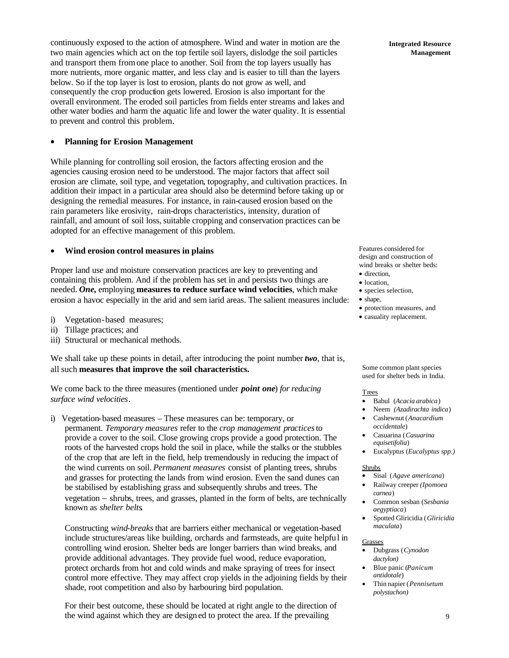continuously exposed to the action of atmosphere. Wind and water in motion are the two main agencies which act on the top fertile soil layers, dislodge the soil particles and transport them from one place to another. Soil from the top layers usually has more nutrients, more organic matter, and less clay and is easier to till than the layers below. So if the top layer is lost to erosion, plants do not grow as well, and consequently the crop production gets lowered. Erosion is also important for the overall environment. The eroded soil particles from fields enter streams and lakes and other water bodies and harm the aquatic life and lower the water quality. It is essential to prevent and control this problem.

#### • **Planning for Erosion Management**

While planning for controlling soil erosion, the factors affecting erosion and the agencies causing erosion need to be understood. The major factors that affect soil erosion are climate, soil type, and vegetation, topography, and cultivation practices. In addition their impact in a particular area should also be determind before taking up or designing the remedial measures. For instance, in rain-caused erosion based on the rain parameters like erosivity, rain-drops characteristics, intensity, duration of rainfall, and amount of soil loss, suitable cropping and conservation practices can be adopted for an effective management of this problem.

#### • **Wind erosion control measures in plains**

Proper land use and moisture conservation practices are key to preventing and containing this problem. And if the problem has set in and persists two things are needed. *One,* employing **measures to reduce surface wind velocities**, which make erosion a havoc especially in the arid and sem iarid areas. The salient measures include:

- i) Vegetation-based measures;
- ii) Tillage practices; and
- iii) Structural or mechanical methods.

We shall take up these points in detail, after introducing the point number *two*, that is, all such **measures that improve the soil characteristics.**

We come back to the three measures (mentioned under *point one*) *for reducing surface wind velocities*.

i) Vegetation-based measures – These measures can be: temporary, or permanent. *Temporary measures* refer to the *crop management practices* to provide a cover to the soil. Close growing crops provide a good protection. The roots of the harvested crops hold the soil in place, while the stalks or the stubbles of the crop that are left in the field, help tremendously in reducing the impact of the wind currents on soil. *Permanent measures* consist of planting trees, shrubs and grasses for protecting the lands from wind erosion. Even the sand dunes can be stabilised by establishing grass and subsequently shrubs and trees. The vegetation − shrubs, trees, and grasses, planted in the form of belts, are technically known as *shelter belts.*

Constructing *wind-breaks* that are barriers either mechanical or vegetation-based include structures/areas like building, orchards and farmsteads, are quite helpfu l in controlling wind erosion. Shelter beds are longer barriers than wind breaks, and provide additional advantages. They provide fuel wood, reduce evaporation, protect orchards from hot and cold winds and make spraying of trees for insect control more effective. They may affect crop yields in the adjoining fields by their shade, root competition and also by harbouring bird population.

For their best outcome, these should be located at right angle to the direction of the wind against which they are design ed to protect the area. If the prevailing

Features considered for design and construction of wind breaks or shelter beds: • direction,

- location,
- species selection,
- shape,
- protection measures, and
- casuality replacement.

Some common plant species used for shelter beds in India.

#### **Trees**

- Babul (*Acacia arabica*)
- Neem *(Azadirachta indica*) • Cashewnut (*Anacardium*
- *occidentale*) • Casuarina (*Casuarina equisetifolia*)
- Eucalyptus (*Eucalyptus spp.)*

#### Shrubs

- Sisal (*Agave americana*)
- Railway creeper *(Ipomoea carnea*)
- Common sesban (*Sesbania aegyptiaca*)
- Spotted Gliricidia (*Gliricidia maculata*)

#### Grasses

- Dubgrass (*Cynodon dactylon)*
- Blue panic (*Panicum antidotale*)
- Thin napier (*Pennisetum polystachon)*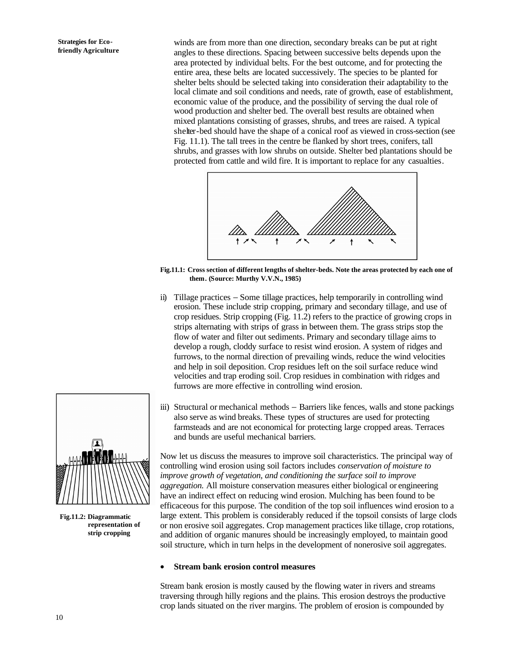winds are from more than one direction, secondary breaks can be put at right angles to these directions. Spacing between successive belts depends upon the area protected by individual belts. For the best outcome, and for protecting the entire area, these belts are located successively. The species to be planted for shelter belts should be selected taking into consideration their adaptability to the local climate and soil conditions and needs, rate of growth, ease of establishment, economic value of the produce, and the possibility of serving the dual role of wood production and shelter bed. The overall best results are obtained when mixed plantations consisting of grasses, shrubs, and trees are raised. A typical shelter-bed should have the shape of a conical roof as viewed in cross-section (see Fig. 11.1). The tall trees in the centre be flanked by short trees, conifers, tall shrubs, and grasses with low shrubs on outside. Shelter bed plantations should be protected from cattle and wild fire. It is important to replace for any casualties.



**Fig.11.1: Cross section of different lengths of shelter-beds. Note the areas protected by each one of them. (Source: Murthy V.V.N., 1985)**

- ii) Tillage practices − Some tillage practices, help temporarily in controlling wind erosion. These include strip cropping, primary and secondary tillage, and use of crop residues. Strip cropping (Fig. 11.2) refers to the practice of growing crops in strips alternating with strips of grass in between them. The grass strips stop the flow of water and filter out sediments. Primary and secondary tillage aims to develop a rough, cloddy surface to resist wind erosion. A system of ridges and furrows, to the normal direction of prevailing winds, reduce the wind velocities and help in soil deposition. Crop residues left on the soil surface reduce wind velocities and trap eroding soil. Crop residues in combination with ridges and furrows are more effective in controlling wind erosion.
- iii) Structural or mechanical methods − Barriers like fences, walls and stone packings also serve as wind breaks. These types of structures are used for protecting farmsteads and are not economical for protecting large cropped areas. Terraces and bunds are useful mechanical barriers.

Now let us discuss the measures to improve soil characteristics. The principal way of controlling wind erosion using soil factors includes *conservation of moisture to improve growth of vegetation, and conditioning the surface soil to improve aggregation.* All moisture conservation measures either biological or engineering have an indirect effect on reducing wind erosion. Mulching has been found to be efficaceous for this purpose. The condition of the top soil influences wind erosion to a large extent. This problem is considerably reduced if the topsoil consists of large clods or non erosive soil aggregates. Crop management practices like tillage, crop rotations, and addition of organic manures should be increasingly employed, to maintain good soil structure, which in turn helps in the development of nonerosive soil aggregates.

#### • **Stream bank erosion control measures**

Stream bank erosion is mostly caused by the flowing water in rivers and streams traversing through hilly regions and the plains. This erosion destroys the productive crop lands situated on the river margins. The problem of erosion is compounded by



**Fig.11.2: Diagrammatic representation of strip cropping**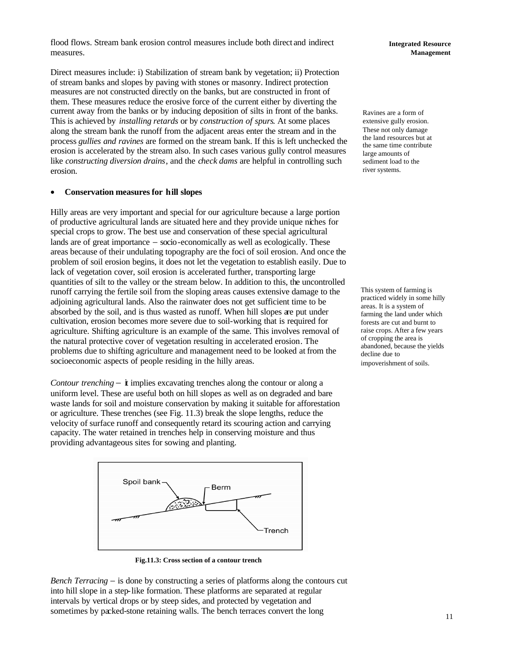flood flows. Stream bank erosion control measures include both direct and indirect measures.

Direct measures include: i) Stabilization of stream bank by vegetation; ii) Protection of stream banks and slopes by paving with stones or masonry. Indirect protection measures are not constructed directly on the banks, but are constructed in front of them. These measures reduce the erosive force of the current either by diverting the current away from the banks or by inducing deposition of silts in front of the banks. This is achieved by *installing retards* or by *construction of spurs*. At some places along the stream bank the runoff from the adjacent areas enter the stream and in the process *gullies and ravines* are formed on the stream bank. If this is left unchecked the erosion is accelerated by the stream also. In such cases various gully control measures like *constructing diversion drains*, and the *check dams* are helpful in controlling such erosion.

#### • **Conservation measures for hill slopes**

Hilly areas are very important and special for our agriculture because a large portion of productive agricultural lands are situated here and they provide unique niches for special crops to grow. The best use and conservation of these special agricultural lands are of great importance − socio-economically as well as ecologically. These areas because of their undulating topography are the foci of soil erosion. And once the problem of soil erosion begins, it does not let the vegetation to establish easily. Due to lack of vegetation cover, soil erosion is accelerated further, transporting large quantities of silt to the valley or the stream below. In addition to this, the uncontrolled runoff carrying the fertile soil from the sloping areas causes extensive damage to the adjoining agricultural lands. Also the rainwater does not get sufficient time to be absorbed by the soil, and is thus wasted as runoff. When hill slopes are put under cultivation, erosion becomes more severe due to soil-working that is required for agriculture. Shifting agriculture is an example of the same. This involves removal of the natural protective cover of vegetation resulting in accelerated erosion. The problems due to shifting agriculture and management need to be looked at from the socioeconomic aspects of people residing in the hilly areas.

*Contour trenching* − **i** implies excavating trenches along the contour or along a uniform level. These are useful both on hill slopes as well as on degraded and bare waste lands for soil and moisture conservation by making it suitable for afforestation or agriculture. These trenches (see Fig. 11.3) break the slope lengths, reduce the velocity of surface runoff and consequently retard its scouring action and carrying capacity. The water retained in trenches help in conserving moisture and thus providing advantageous sites for sowing and planting.



**Fig.11.3: Cross section of a contour trench**

*Bench Terracing* − is done by constructing a series of platforms along the contours cut into hill slope in a step-like formation. These platforms are separated at regular intervals by vertical drops or by steep sides, and protected by vegetation and sometimes by packed-stone retaining walls. The bench terraces convert the long

Ravines are a form of extensive gully erosion. These not only damage the land resources but at the same time contribute large amounts of sediment load to the river systems.

This system of farming is practiced widely in some hilly areas. It is a system of farming the land under which forests are cut and burnt to raise crops. After a few years of cropping the area is abandoned, because the yields decline due to impoverishment of soils.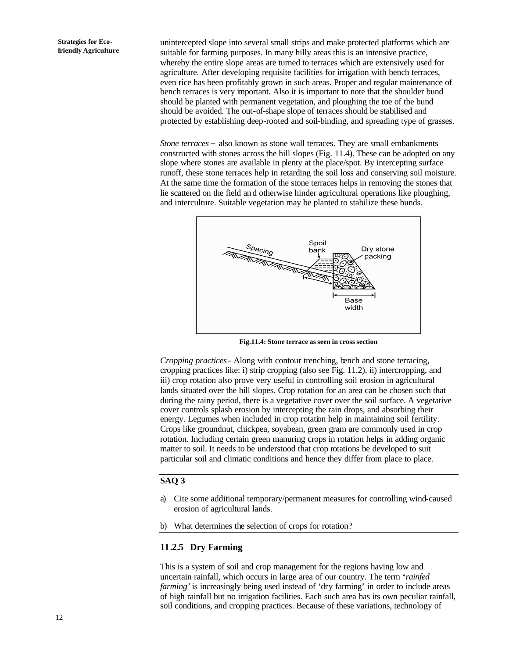unintercepted slope into several small strips and make protected platforms which are suitable for farming purposes. In many hilly areas this is an intensive practice, whereby the entire slope areas are turned to terraces which are extensively used for agriculture. After developing requisite facilities for irrigation with bench terraces, even rice has been profitably grown in such areas. Proper and regular maintenance of bench terraces is very important. Also it is important to note that the shoulder bund should be planted with permanent vegetation, and ploughing the toe of the bund should be avoided. The out-of-shape slope of terraces should be stabilised and protected by establishing deep-rooted and soil-binding, and spreading type of grasses.

*Stone terraces* − also known as stone wall terraces. They are small embankments constructed with stones across the hill slopes (Fig. 11.4). These can be adopted on any slope where stones are available in plenty at the place/spot. By intercepting surface runoff, these stone terraces help in retarding the soil loss and conserving soil moisture. At the same time the formation of the stone terraces helps in removing the stones that lie scattered on the field and otherwise hinder agricultural operations like ploughing, and interculture. Suitable vegetation may be planted to stabilize these bunds.



**Fig.11.4: Stone terrace as seen in cross section**

*Cropping practices*- Along with contour trenching, bench and stone terracing, cropping practices like: i) strip cropping (also see Fig. 11.2), ii) intercropping, and iii) crop rotation also prove very useful in controlling soil erosion in agricultural lands situated over the hill slopes. Crop rotation for an area can be chosen such that during the rainy period, there is a vegetative cover over the soil surface. A vegetative cover controls splash erosion by intercepting the rain drops, and absorbing their energy. Legumes when included in crop rotation help in maintaining soil fertility. Crops like groundnut, chickpea, soyabean, green gram are commonly used in crop rotation. Including certain green manuring crops in rotation helps in adding organic matter to soil. It needs to be understood that crop rotations be developed to suit particular soil and climatic conditions and hence they differ from place to place.

## **SAQ 3**

- a) Cite some additional temporary/permanent measures for controlling wind-caused erosion of agricultural lands.
- b) What determines the selection of crops for rotation?

#### **11.2.5 Dry Farming**

This is a system of soil and crop management for the regions having low and uncertain rainfall, which occurs in large area of our country. The term **'***rainfed farming'* is increasingly being used instead of 'dry farming' in order to include areas of high rainfall but no irrigation facilities. Each such area has its own peculiar rainfall, soil conditions, and cropping practices. Because of these variations, technology of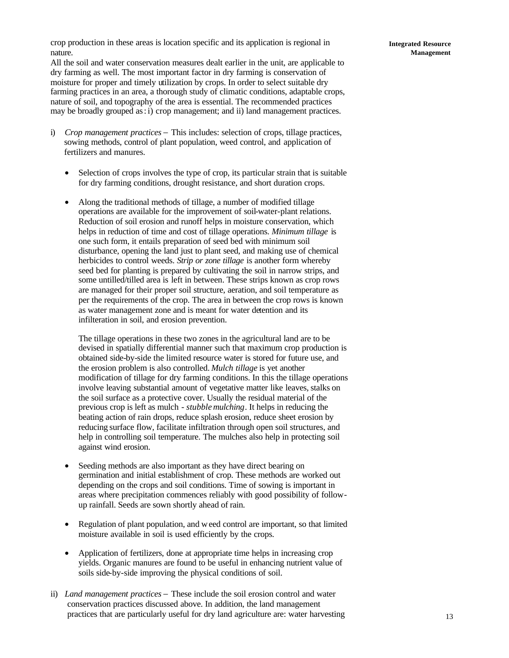crop production in these areas is location specific and its application is regional in nature.

All the soil and water conservation measures dealt earlier in the unit, are applicable to dry farming as well. The most important factor in dry farming is conservation of moisture for proper and timely utilization by crops. In order to select suitable dry farming practices in an area, a thorough study of climatic conditions, adaptable crops, nature of soil, and topography of the area is essential. The recommended practices may be broadly grouped as: i) crop management; and ii) land management practices.

- i) *Crop management practices* − This includes: selection of crops, tillage practices, sowing methods, control of plant population, weed control, and application of fertilizers and manures.
	- Selection of crops involves the type of crop, its particular strain that is suitable for dry farming conditions, drought resistance, and short duration crops.
	- Along the traditional methods of tillage, a number of modified tillage operations are available for the improvement of soil-water-plant relations. Reduction of soil erosion and runoff helps in moisture conservation, which helps in reduction of time and cost of tillage operations. *Minimum tillage* is one such form, it entails preparation of seed bed with minimum soil disturbance, opening the land just to plant seed, and making use of chemical herbicides to control weeds. *Strip or zone tillage* is another form whereby seed bed for planting is prepared by cultivating the soil in narrow strips, and some untilled/tilled area is left in between. These strips known as crop rows are managed for their proper soil structure, aeration, and soil temperature as per the requirements of the crop. The area in between the crop rows is known as water management zone and is meant for water detention and its infilteration in soil, and erosion prevention.

The tillage operations in these two zones in the agricultural land are to be devised in spatially differential manner such that maximum crop production is obtained side-by-side the limited resource water is stored for future use, and the erosion problem is also controlled. *Mulch tillage* is yet another modification of tillage for dry farming conditions. In this the tillage operations involve leaving substantial amount of vegetative matter like leaves, stalks on the soil surface as a protective cover. Usually the residual material of the previous crop is left as mulch - *stubble mulching*. It helps in reducing the beating action of rain drops, reduce splash erosion, reduce sheet erosion by reducing surface flow, facilitate infiltration through open soil structures, and help in controlling soil temperature. The mulches also help in protecting soil against wind erosion.

- Seeding methods are also important as they have direct bearing on germination and initial establishment of crop. These methods are worked out depending on the crops and soil conditions. Time of sowing is important in areas where precipitation commences reliably with good possibility of followup rainfall. Seeds are sown shortly ahead of rain.
- Regulation of plant population, and weed control are important, so that limited moisture available in soil is used efficiently by the crops.
- Application of fertilizers, done at appropriate time helps in increasing crop yields. Organic manures are found to be useful in enhancing nutrient value of soils side-by-side improving the physical conditions of soil.
- ii) *Land management practices* − These include the soil erosion control and water conservation practices discussed above. In addition, the land management practices that are particularly useful for dry land agriculture are: water harvesting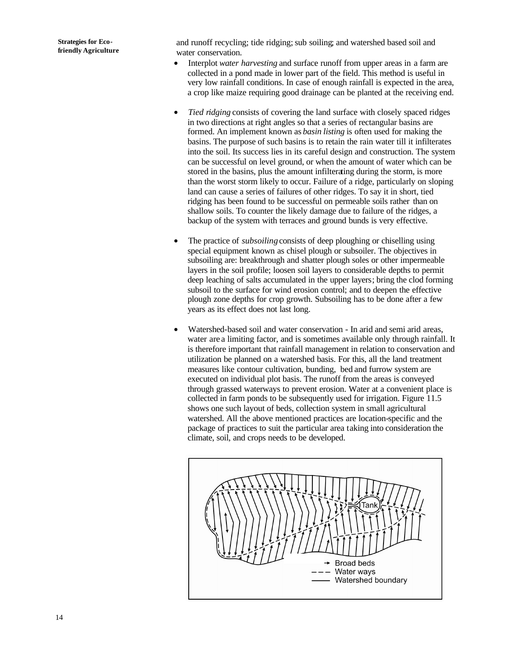and runoff recycling; tide ridging; sub soiling; and watershed based soil and water conservation.

- Interplot *water harvesting* and surface runoff from upper areas in a farm are collected in a pond made in lower part of the field. This method is useful in very low rainfall conditions. In case of enough rainfall is expected in the area, a crop like maize requiring good drainage can be planted at the receiving end.
- *Tied ridging* consists of covering the land surface with closely spaced ridges in two directions at right angles so that a series of rectangular basins are formed. An implement known as *basin listing* is often used for making the basins. The purpose of such basins is to retain the rain water till it infilterates into the soil. Its success lies in its careful design and construction. The system can be successful on level ground, or when the amount of water which can be stored in the basins, plus the amount infilterating during the storm, is more than the worst storm likely to occur. Failure of a ridge, particularly on sloping land can cause a series of failures of other ridges. To say it in short, tied ridging has been found to be successful on permeable soils rather than on shallow soils. To counter the likely damage due to failure of the ridges, a backup of the system with terraces and ground bunds is very effective.
- The practice of *subsoiling* consists of deep ploughing or chiselling using special equipment known as chisel plough or subsoiler. The objectives in subsoiling are: breakthrough and shatter plough soles or other impermeable layers in the soil profile; loosen soil layers to considerable depths to permit deep leaching of salts accumulated in the upper layers; bring the clod forming subsoil to the surface for wind erosion control; and to deepen the effective plough zone depths for crop growth. Subsoiling has to be done after a few years as its effect does not last long.
- Watershed-based soil and water conservation In arid and semi arid areas, water are a limiting factor, and is sometimes available only through rainfall. It is therefore important that rainfall management in relation to conservation and utilization be planned on a watershed basis. For this, all the land treatment measures like contour cultivation, bunding, bed and furrow system are executed on individual plot basis. The runoff from the areas is conveyed through grassed waterways to prevent erosion. Water at a convenient place is collected in farm ponds to be subsequently used for irrigation. Figure 11.5 shows one such layout of beds, collection system in small agricultural watershed. All the above mentioned practices are location-specific and the package of practices to suit the particular area taking into consideration the climate, soil, and crops needs to be developed.

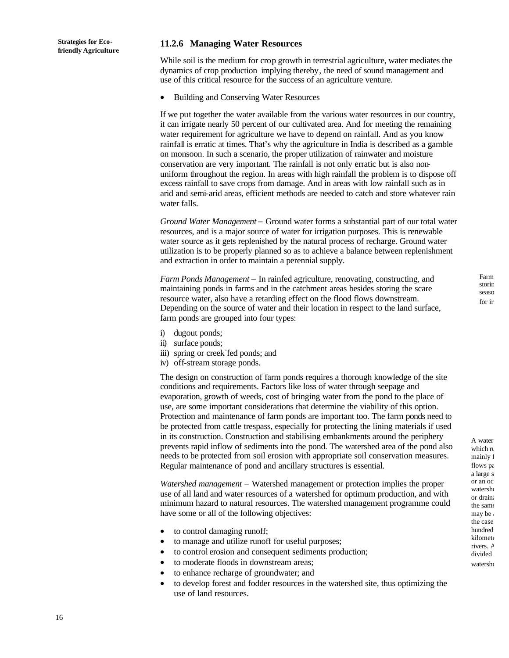#### **11.2.6 Managing Water Resources**

While soil is the medium for crop growth in terrestrial agriculture, water mediates the dynamics of crop production implying thereby, the need of sound management and use of this critical resource for the success of an agriculture venture.

• Building and Conserving Water Resources

If we put together the water available from the various water resources in our country, it can irrigate nearly 50 percent of our cultivated area. And for meeting the remaining water requirement for agriculture we have to depend on rainfall. And as you know rainfall is erratic at times. That's why the agriculture in India is described as a gamble on monsoon. In such a scenario, the proper utilization of rainwater and moisture conservation are very important. The rainfall is not only erratic but is also nonuniform throughout the region. In areas with high rainfall the problem is to dispose off excess rainfall to save crops from damage. And in areas with low rainfall such as in arid and semi-arid areas, efficient methods are needed to catch and store whatever rain water falls.

*Ground Water Management* − Ground water forms a substantial part of our total water resources, and is a major source of water for irrigation purposes. This is renewable water source as it gets replenished by the natural process of recharge. Ground water utilization is to be properly planned so as to achieve a balance between replenishment and extraction in order to maintain a perennial supply.

*Farm Ponds Management* − In rainfed agriculture, renovating, constructing, and maintaining ponds in farms and in the catchment areas besides storing the scare resource water, also have a retarding effect on the flood flows downstream. Depending on the source of water and their location in respect to the land surface, farm ponds are grouped into four types:

- i) dugout ponds;
- ii) surface ponds;
- iii) spring or creek fed ponds; and
- iv) off-stream storage ponds.

The design on construction of farm ponds requires a thorough knowledge of the site conditions and requirements. Factors like loss of water through seepage and evaporation, growth of weeds, cost of bringing water from the pond to the place of use, are some important considerations that determine the viability of this option. Protection and maintenance of farm ponds are important too. The farm ponds need to be protected from cattle trespass, especially for protecting the lining materials if used in its construction. Construction and stabilising embankments around the periphery prevents rapid inflow of sediments into the pond. The watershed area of the pond also needs to be protected from soil erosion with appropriate soil conservation measures. Regular maintenance of pond and ancillary structures is essential.

*Watershed management* − Watershed management or protection implies the proper use of all land and water resources of a watershed for optimum production, and with minimum hazard to natural resources. The watershed management programme could have some or all of the following objectives:

- to control damaging runoff;
- to manage and utilize runoff for useful purposes;
- to control erosion and consequent sediments production;
- to moderate floods in downstream areas;
- to enhance recharge of groundwater; and
- to develop forest and fodder resources in the watershed site, thus optimizing the use of land resources.

Farm storin seaso for ir

A water which ru mainly f flows pa a large s or an oc watershe or drain: the same  $max$  be: the case hundred kilomete rivers. A divided watershe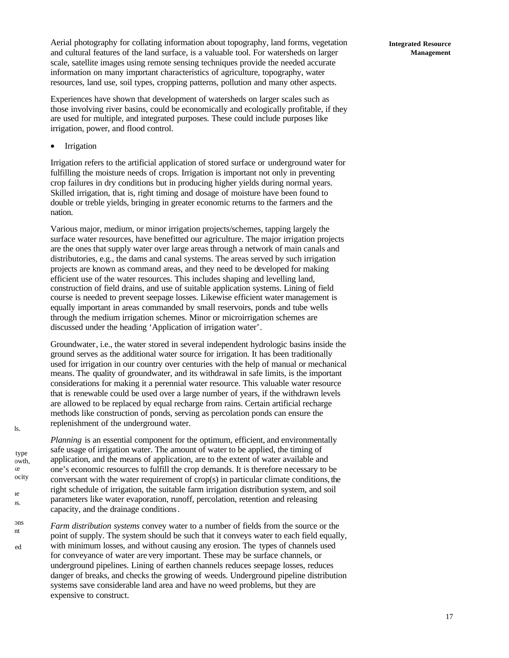Aerial photography for collating information about topography, land forms, vegetation and cultural features of the land surface, is a valuable tool. For watersheds on larger scale, satellite images using remote sensing techniques provide the needed accurate information on many important characteristics of agriculture, topography, water resources, land use, soil types, cropping patterns, pollution and many other aspects.

Experiences have shown that development of watersheds on larger scales such as those involving river basins, could be economically and ecologically profitable, if they are used for multiple, and integrated purposes. These could include purposes like irrigation, power, and flood control.

• Irrigation

ls.

type owth,

ocity

ce care

considered to gauge the set of the set of the set of the set of the set of the set of the set of the set of the set of the set of the set of the set of the set of the set of the set of the set of the set of the set of the  $\overline{\mathbf{S}}$ .

Irrigation refers to the artificial application of stored surface or underground water for fulfilling the moisture needs of crops. Irrigation is important not only in preventing crop failures in dry conditions but in producing higher yields during normal years. Skilled irrigation, that is, right timing and dosage of moisture have been found to double or treble yields, bringing in greater economic returns to the farmers and the nation.

Various major, medium, or minor irrigation projects/schemes, tapping largely the surface water resources, have benefitted our agriculture. The major irrigation projects are the ones that supply water over large areas through a network of main canals and distributories, e.g., the dams and canal systems. The areas served by such irrigation projects are known as command areas, and they need to be developed for making efficient use of the water resources. This includes shaping and levelling land, construction of field drains, and use of suitable application systems. Lining of field course is needed to prevent seepage losses. Likewise efficient water management is equally important in areas commanded by small reservoirs, ponds and tube wells through the medium irrigation schemes. Minor or microirrigation schemes are discussed under the heading 'Application of irrigation water'.

Groundwater, i.e., the water stored in several independent hydrologic basins inside the ground serves as the additional water source for irrigation. It has been traditionally used for irrigation in our country over centuries with the help of manual or mechanical means. The quality of groundwater, and its withdrawal in safe limits, is the important considerations for making it a perennial water resource. This valuable water resource that is renewable could be used over a large number of years, if the withdrawn levels are allowed to be replaced by equal recharge from rains. Certain artificial recharge methods like construction of ponds, serving as percolation ponds can ensure the replenishment of the underground water.

*Planning* is an essential component for the optimum, efficient, and environmentally safe usage of irrigation water. The amount of water to be applied, the timing of application, and the means of application, are to the extent of water available and one's economic resources to fulfill the crop demands. It is therefore necessary to be conversant with the water requirement of  $\text{crop}(s)$  in particular climate conditions, the right schedule of irrigation, the suitable farm irrigation distribution system, and soil parameters like water evaporation, runoff, percolation, retention and releasing capacity, and the drainage conditions.

*Farm distribution systems* convey water to a number of fields from the source or the point of supply. The system should be such that it conveys water to each field equally, with minimum losses, and without causing any erosion. The types of channels used for conveyance of water are very important. These may be surface channels, or underground pipelines. Lining of earthen channels reduces seepage losses, reduces danger of breaks, and checks the growing of weeds. Underground pipeline distribution systems save considerable land area and have no weed problems, but they are expensive to construct. ons are necessary to prevent ed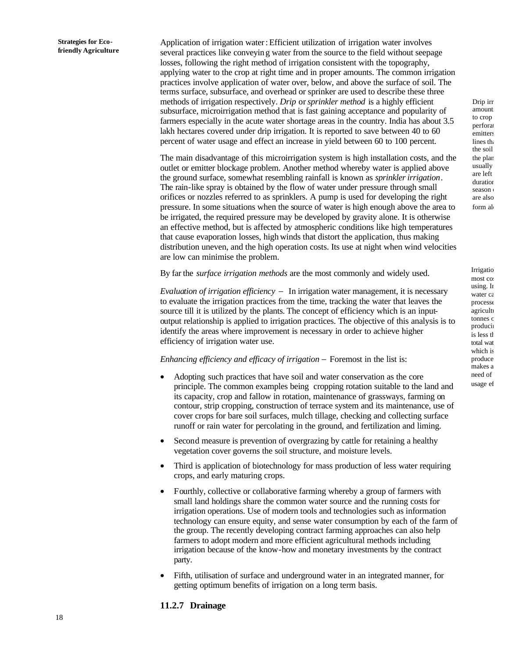Application of irrigation water: Efficient utilization of irrigation water involves several practices like conveying water from the source to the field without seepage losses, following the right method of irrigation consistent with the topography, applying water to the crop at right time and in proper amounts. The common irrigation practices involve application of water over, below, and above the surface of soil. The terms surface, subsurface, and overhead or sprinker are used to describe these three methods of irrigation respectively. *Drip* or *sprinkler method* is a highly efficient subsurface, microirrigation method that is fast gaining acceptance and popularity of farmers especially in the acute water shortage areas in the country. India has about 3.5 lakh hectares covered under drip irrigation. It is reported to save between 40 to 60 percent of water usage and effect an increase in yield between 60 to 100 percent.

The main disadvantage of this microirrigation system is high installation costs, and the outlet or emitter blockage problem. Another method whereby water is applied above the ground surface, somewhat resembling rainfall is known as *sprinkler irrigation*. The rain-like spray is obtained by the flow of water under pressure through small orifices or nozzles referred to as sprinklers. A pump is used for developing the right pressure. In some situations when the source of water is high enough above the area to be irrigated, the required pressure may be developed by gravity alone. It is otherwise an effective method, but is affected by atmospheric conditions like high temperatures that cause evaporation losses, high winds that distort the application, thus making distribution uneven, and the high operation costs. Its use at night when wind velocities are low can minimise the problem.

By far the *surface irrigation methods* are the most commonly and widely used.

*Evaluation of irrigation efficiency* − In irrigation water management, it is necessary to evaluate the irrigation practices from the time, tracking the water that leaves the source till it is utilized by the plants. The concept of efficiency which is an inputoutput relationship is applied to irrigation practices. The objective of this analysis is to identify the areas where improvement is necessary in order to achieve higher efficiency of irrigation water use.

*Enhancing efficiency and efficacy of irrigation* − Foremost in the list is:

- Adopting such practices that have soil and water conservation as the core principle. The common examples being cropping rotation suitable to the land and its capacity, crop and fallow in rotation, maintenance of grassways, farming on contour, strip cropping, construction of terrace system and its maintenance, use of cover crops for bare soil surfaces, mulch tillage, checking and collecting surface runoff or rain water for percolating in the ground, and fertilization and liming.
- Second measure is prevention of overgrazing by cattle for retaining a healthy vegetation cover governs the soil structure, and moisture levels.
- Third is application of biotechnology for mass production of less water requiring crops, and early maturing crops.
- Fourthly, collective or collaborative farming whereby a group of farmers with small land holdings share the common water source and the running costs for irrigation operations. Use of modern tools and technologies such as information technology can ensure equity, and sense water consumption by each of the farm of the group. The recently developing contract farming approaches can also help farmers to adopt modern and more efficient agricultural methods including irrigation because of the know-how and monetary investments by the contract party.
- Fifth, utilisation of surface and underground water in an integrated manner, for getting optimum benefits of irrigation on a long term basis.

### **11.2.7 Drainage**

Drip irr amounts to crop perforat emitters lines that the soil the plan usually are left duration season ( are also form al

Irrigatio most co: using. In water ca processe agricultu tonnes c producing is less that total wat which is produce makes a need of usage ef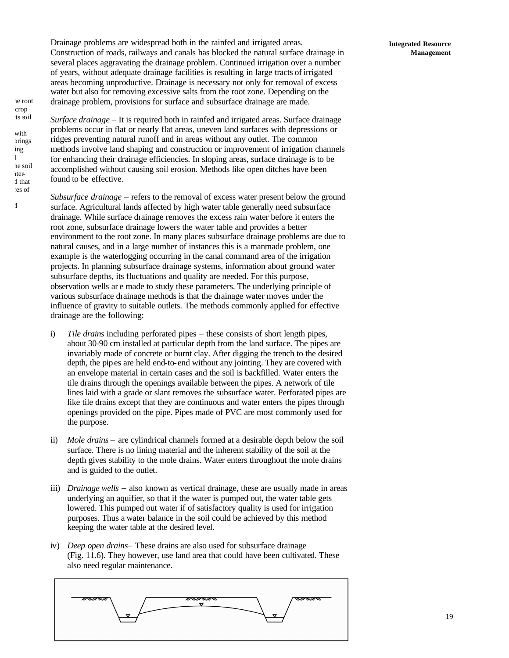Drainage problems are widespread both in the rainfed and irrigated areas. Construction of roads, railways and canals has blocked the natural surface drainage in several places aggravating the drainage problem. Continued irrigation over a number of years, without adequate drainage facilities is resulting in large tracts of irrigated areas becoming unproductive. Drainage is necessary not only for removal of excess water but also for removing excessive salts from the root zone. Depending on the drainage problem, provisions for surface and subsurface drainage are made.

*Surface drainage* − It is required both in rainfed and irrigated areas. Surface drainage problems occur in flat or nearly flat areas, uneven land surfaces with depressions or ridges preventing natural runoff and in areas without any outlet. The common

methods involve land shaping and construction or improvement of irrigation channels for enhancing their drainage efficiencies. In sloping areas, surface drainage is to be

ne root crop ts soil

with brings ing salts and other harmful he soil ater**d** that res of

 $\frac{1}{2}$ 

accomplished without causing soil erosion. Methods like open ditches have been found to be effective. *Subsurface drainage* − refers to the removal of excess water present below the ground surface. Agricultural lands affected by high water table generally need subsurface drainage. While surface drainage removes the excess rain water before it enters the root zone, subsurface drainage lowers the water table and provides a better environment to the root zone. In many places subsurface drainage problems are due to natural causes, and in a large number of instances this is a manmade problem, one example is the waterlogging occurring in the canal command area of the irrigation

projects. In planning subsurface drainage systems, information about ground water subsurface depths, its fluctuations and quality are needed. For this purpose, observation wells ar e made to study these parameters. The underlying principle of various subsurface drainage methods is that the drainage water moves under the influence of gravity to suitable outlets. The methods commonly applied for effective drainage are the following:

- i) *Tile drains* including perforated pipes − these consists of short length pipes, about 30-90 cm installed at particular depth from the land surface. The pipes are invariably made of concrete or burnt clay. After digging the trench to the desired depth, the pipes are held end-to-end without any jointing. They are covered with an envelope material in certain cases and the soil is backfilled. Water enters the tile drains through the openings available between the pipes. A network of tile lines laid with a grade or slant removes the subsurface water. Perforated pipes are like tile drains except that they are continuous and water enters the pipes through openings provided on the pipe. Pipes made of PVC are most commonly used for the purpose.
- ii) *Mole drains* − are cylindrical channels formed at a desirable depth below the soil surface. There is no lining material and the inherent stability of the soil at the depth gives stability to the mole drains. Water enters throughout the mole drains and is guided to the outlet.
- iii) *Drainage wells* − also known as vertical drainage, these are usually made in areas underlying an aquifier, so that if the water is pumped out, the water table gets lowered. This pumped out water if of satisfactory quality is used for irrigation purposes. Thus a water balance in the soil could be achieved by this method keeping the water table at the desired level.
- iv) *Deep open drains*− These drains are also used for subsurface drainage (Fig. 11.6). They however, use land area that could have been cultivated. These also need regular maintenance.



#### **Integrated Resource Management**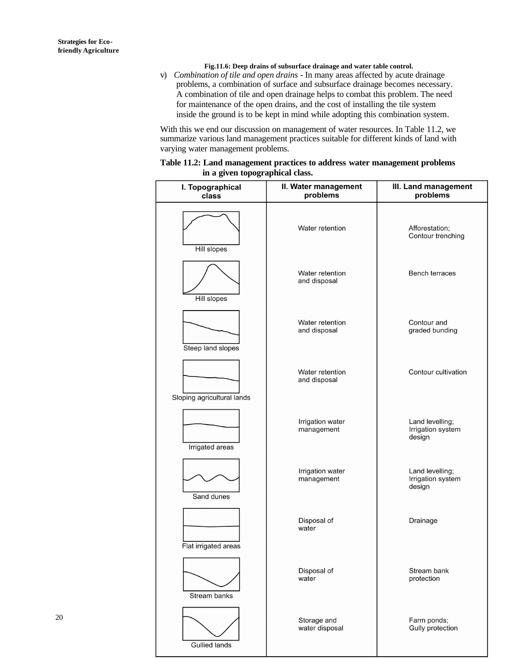**Fig.11.6: Deep drains of subsurface drainage and water table control.**

v) *Combination of tile and open drains* - In many areas affected by acute drainage problems, a combination of surface and subsurface drainage becomes necessary. A combination of tile and open drainage helps to combat this problem. The need for maintenance of the open drains, and the cost of installing the tile system inside the ground is to be kept in mind while adopting this combination system.

With this we end our discussion on management of water resources. In Table 11.2, we summarize various land management practices suitable for different kinds of land with varying water management problems.

| Table 11.2: Land management practices to address water management problems |  |  |
|----------------------------------------------------------------------------|--|--|
| in a given topographical class.                                            |  |  |

| I. Topographical<br>class         | II. Water management<br>problems | III. Land management<br>problems               |  |  |
|-----------------------------------|----------------------------------|------------------------------------------------|--|--|
|                                   | Water retention                  | Afforestation;<br>Contour trenching            |  |  |
| <b>Hill slopes</b><br>Hill slopes | Water retention<br>and disposal  | Bench terraces                                 |  |  |
| Steep land slopes                 | Water retention<br>and disposal  | Contour and<br>graded bunding                  |  |  |
| Sloping agricultural lands        | Water retention<br>and disposal  | Contour cultivation                            |  |  |
| Irrigated areas                   | Irrigation water<br>management   | Land levelling;<br>Irrigation system<br>design |  |  |
| Sand dunes                        | Irrigation water<br>management   | Land levelling;<br>Irrigation system<br>design |  |  |
| Flat irrigated areas              | Disposal of<br>water             | Drainage                                       |  |  |
| Stream banks                      | Disposal of<br>water             | Stream bank<br>protection                      |  |  |
| <b>Gullied lands</b>              | Storage and<br>water disposal    | Farm ponds;<br>Gully protection                |  |  |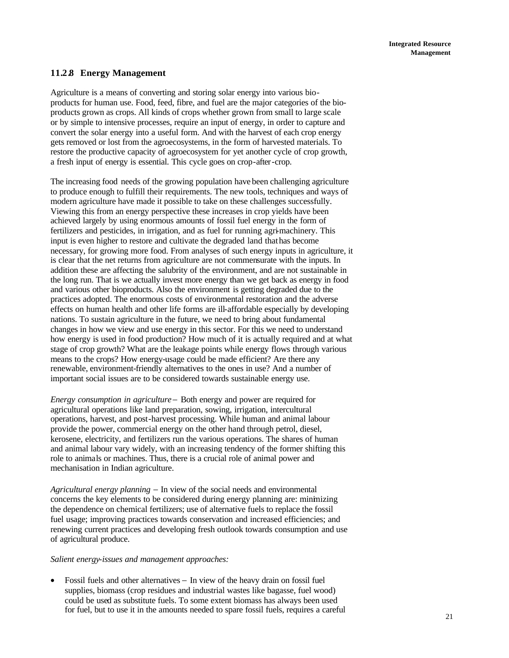## **11.2.8 Energy Management**

Agriculture is a means of converting and storing solar energy into various bioproducts for human use. Food, feed, fibre, and fuel are the major categories of the bioproducts grown as crops. All kinds of crops whether grown from small to large scale or by simple to intensive processes, require an input of energy, in order to capture and convert the solar energy into a useful form. And with the harvest of each crop energy gets removed or lost from the agroecosystems, in the form of harvested materials. To restore the productive capacity of agroecosystem for yet another cycle of crop growth, a fresh input of energy is essential. This cycle goes on crop-after-crop.

The increasing food needs of the growing population have been challenging agriculture to produce enough to fulfill their requirements. The new tools, techniques and ways of modern agriculture have made it possible to take on these challenges successfully. Viewing this from an energy perspective these increases in crop yields have been achieved largely by using enormous amounts of fossil fuel energy in the form of fertilizers and pesticides, in irrigation, and as fuel for running agri-machinery. This input is even higher to restore and cultivate the degraded land that has become necessary, for growing more food. From analyses of such energy inputs in agriculture, it is clear that the net returns from agriculture are not commensurate with the inputs. In addition these are affecting the salubrity of the environment, and are not sustainable in the long run. That is we actually invest more energy than we get back as energy in food and various other bioproducts. Also the environment is getting degraded due to the practices adopted. The enormous costs of environmental restoration and the adverse effects on human health and other life forms are ill-affordable especially by developing nations. To sustain agriculture in the future, we need to bring about fundamental changes in how we view and use energy in this sector. For this we need to understand how energy is used in food production? How much of it is actually required and at what stage of crop growth? What are the leakage points while energy flows through various means to the crops? How energy-usage could be made efficient? Are there any renewable, environment-friendly alternatives to the ones in use? And a number of important social issues are to be considered towards sustainable energy use.

*Energy consumption in agriculture*− Both energy and power are required for agricultural operations like land preparation, sowing, irrigation, intercultural operations, harvest, and post-harvest processing. While human and animal labour provide the power, commercial energy on the other hand through petrol, diesel, kerosene, electricity, and fertilizers run the various operations. The shares of human and animal labour vary widely, with an increasing tendency of the former shifting this role to animals or machines. Thus, there is a crucial role of animal power and mechanisation in Indian agriculture.

*Agricultural energy planning* − In view of the social needs and environmental concerns the key elements to be considered during energy planning are: minimizing the dependence on chemical fertilizers; use of alternative fuels to replace the fossil fuel usage; improving practices towards conservation and increased efficiencies; and renewing current practices and developing fresh outlook towards consumption and use of agricultural produce.

#### *Salient energy-issues and management approaches:*

• Fossil fuels and other alternatives − In view of the heavy drain on fossil fuel supplies, biomass (crop residues and industrial wastes like bagasse, fuel wood) could be used as substitute fuels. To some extent biomass has always been used for fuel, but to use it in the amounts needed to spare fossil fuels, requires a careful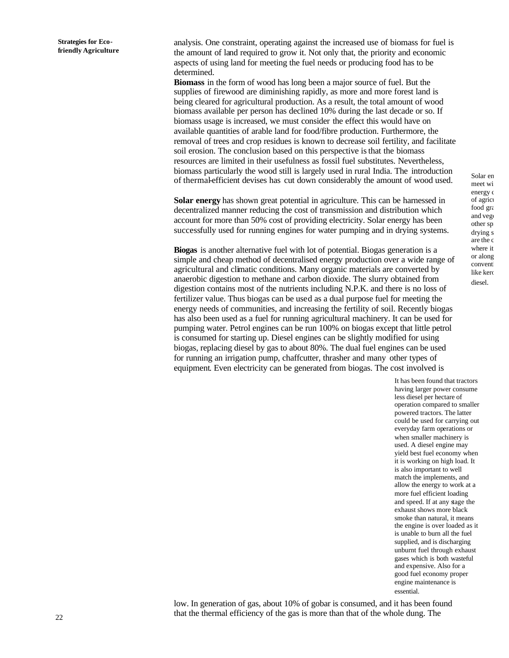analysis. One constraint, operating against the increased use of biomass for fuel is the amount of land required to grow it. Not only that, the priority and economic aspects of using land for meeting the fuel needs or producing food has to be determined.

**Biomass** in the form of wood has long been a major source of fuel. But the supplies of firewood are diminishing rapidly, as more and more forest land is being cleared for agricultural production. As a result, the total amount of wood biomass available per person has declined 10% during the last decade or so. If biomass usage is increased, we must consider the effect this would have on available quantities of arable land for food/fibre production. Furthermore, the removal of trees and crop residues is known to decrease soil fertility, and facilitate soil erosion. The conclusion based on this perspective is that the biomass resources are limited in their usefulness as fossil fuel substitutes. Nevertheless, biomass particularly the wood still is largely used in rural India. The introduction of thermal-efficient devises has cut down considerably the amount of wood used.

**Solar energy** has shown great potential in agriculture. This can be harnessed in decentralized manner reducing the cost of transmission and distribution which account for more than 50% cost of providing electricity. Solar energy has been successfully used for running engines for water pumping and in drying systems.

**Biogas** is another alternative fuel with lot of potential. Biogas generation is a simple and cheap method of decentralised energy production over a wide range of agricultural and climatic conditions. Many organic materials are converted by anaerobic digestion to methane and carbon dioxide. The slurry obtained from digestion contains most of the nutrients including N.P.K. and there is no loss of fertilizer value. Thus biogas can be used as a dual purpose fuel for meeting the energy needs of communities, and increasing the fertility of soil. Recently biogas has also been used as a fuel for running agricultural machinery. It can be used for pumping water. Petrol engines can be run 100% on biogas except that little petrol is consumed for starting up. Diesel engines can be slightly modified for using biogas, replacing diesel by gas to about 80%. The dual fuel engines can be used for running an irrigation pump, chaffcutter, thrasher and many other types of equipment. Even electricity can be generated from biogas. The cost involved is

> It has been found that tractors having larger power consume less diesel per hectare of operation compared to smaller powered tractors. The latter could be used for carrying out everyday farm operations or when smaller machinery is used. A diesel engine may yield best fuel economy when it is working on high load. It is also important to well match the implements, and allow the energy to work at a more fuel efficient loading and speed. If at any stage the exhaust shows more black smoke than natural, it means the engine is over loaded as it is unable to burn all the fuel supplied, and is discharging unburnt fuel through exhaust gases which is both wasteful and expensive. Also for a good fuel economy proper engine maintenance is essential.

low. In generation of gas, about 10% of gobar is consumed, and it has been found that the thermal efficiency of the gas is more than that of the whole dung. The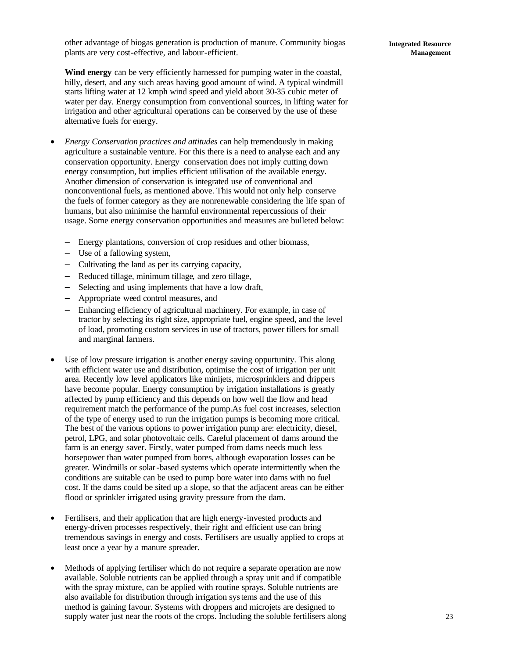other advantage of biogas generation is production of manure. Community biogas plants are very cost-effective, and labour-efficient.

**Wind energy** can be very efficiently harnessed for pumping water in the coastal, hilly, desert, and any such areas having good amount of wind. A typical windmill starts lifting water at 12 kmph wind speed and yield about 30-35 cubic meter of water per day. Energy consumption from conventional sources, in lifting water for irrigation and other agricultural operations can be conserved by the use of these alternative fuels for energy.

- *Energy Conservation practices and attitudes* can help tremendously in making agriculture a sustainable venture. For this there is a need to analyse each and any conservation opportunity. Energy conservation does not imply cutting down energy consumption, but implies efficient utilisation of the available energy. Another dimension of conservation is integrated use of conventional and nonconventional fuels, as mentioned above. This would not only help conserve the fuels of former category as they are nonrenewable considering the life span of humans, but also minimise the harmful environmental repercussions of their usage. Some energy conservation opportunities and measures are bulleted below:
	- − Energy plantations, conversion of crop residues and other biomass,
	- − Use of a fallowing system,
	- − Cultivating the land as per its carrying capacity,
	- − Reduced tillage, minimum tillage, and zero tillage,
	- − Selecting and using implements that have a low draft,
	- − Appropriate weed control measures, and
	- − Enhancing efficiency of agricultural machinery. For example, in case of tractor by selecting its right size, appropriate fuel, engine speed, and the level of load, promoting custom services in use of tractors, power tillers for small and marginal farmers.
- Use of low pressure irrigation is another energy saving oppurtunity. This along with efficient water use and distribution, optimise the cost of irrigation per unit area. Recently low level applicators like minijets, microsprinklers and drippers have become popular. Energy consumption by irrigation installations is greatly affected by pump efficiency and this depends on how well the flow and head requirement match the performance of the pump.As fuel cost increases, selection of the type of energy used to run the irrigation pumps is becoming more critical. The best of the various options to power irrigation pump are: electricity, diesel, petrol, LPG, and solar photovoltaic cells. Careful placement of dams around the farm is an energy saver. Firstly, water pumped from dams needs much less horsepower than water pumped from bores, although evaporation losses can be greater. Windmills or solar-based systems which operate intermittently when the conditions are suitable can be used to pump bore water into dams with no fuel cost. If the dams could be sited up a slope, so that the adjacent areas can be either flood or sprinkler irrigated using gravity pressure from the dam.
- Fertilisers, and their application that are high energy-invested products and energy-driven processes respectively, their right and efficient use can bring tremendous savings in energy and costs. Fertilisers are usually applied to crops at least once a year by a manure spreader.
- Methods of applying fertiliser which do not require a separate operation are now available. Soluble nutrients can be applied through a spray unit and if compatible with the spray mixture, can be applied with routine sprays. Soluble nutrients are also available for distribution through irrigation systems and the use of this method is gaining favour. Systems with droppers and microjets are designed to supply water just near the roots of the crops. Including the soluble fertilisers along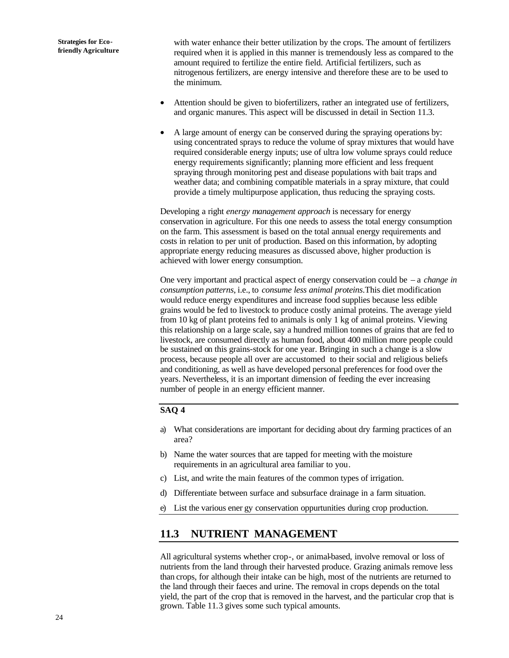with water enhance their better utilization by the crops. The amount of fertilizers required when it is applied in this manner is tremendously less as compared to the amount required to fertilize the entire field. Artificial fertilizers, such as nitrogenous fertilizers, are energy intensive and therefore these are to be used to the minimum.

- Attention should be given to biofertilizers, rather an integrated use of fertilizers, and organic manures. This aspect will be discussed in detail in Section 11.3.
- A large amount of energy can be conserved during the spraying operations by: using concentrated sprays to reduce the volume of spray mixtures that would have required considerable energy inputs; use of ultra low volume sprays could reduce energy requirements significantly; planning more efficient and less frequent spraying through monitoring pest and disease populations with bait traps and weather data; and combining compatible materials in a spray mixture, that could provide a timely multipurpose application, thus reducing the spraying costs.

Developing a right *energy management approach* is necessary for energy conservation in agriculture. For this one needs to assess the total energy consumption on the farm. This assessment is based on the total annual energy requirements and costs in relation to per unit of production. Based on this information, by adopting appropriate energy reducing measures as discussed above, higher production is achieved with lower energy consumption.

One very important and practical aspect of energy conservation could be – a *change in consumption patterns*, i.e., to *consume less animal proteins*.This diet modification would reduce energy expenditures and increase food supplies because less edible grains would be fed to livestock to produce costly animal proteins. The average yield from 10 kg of plant proteins fed to animals is only 1 kg of animal proteins. Viewing this relationship on a large scale, say a hundred million tonnes of grains that are fed to livestock, are consumed directly as human food, about 400 million more people could be sustained on this grains-stock for one year. Bringing in such a change is a slow process, because people all over are accustomed to their social and religious beliefs and conditioning, as well as have developed personal preferences for food over the years. Nevertheless, it is an important dimension of feeding the ever increasing number of people in an energy efficient manner.

### **SAQ 4**

- a) What considerations are important for deciding about dry farming practices of an area?
- b) Name the water sources that are tapped for meeting with the moisture requirements in an agricultural area familiar to you.
- c) List, and write the main features of the common types of irrigation.
- d) Differentiate between surface and subsurface drainage in a farm situation.
- e) List the various ener gy conservation oppurtunities during crop production.

## **11.3 NUTRIENT MANAGEMENT**

All agricultural systems whether crop-, or animal-based, involve removal or loss of nutrients from the land through their harvested produce. Grazing animals remove less than crops, for although their intake can be high, most of the nutrients are returned to the land through their faeces and urine. The removal in crops depends on the total yield, the part of the crop that is removed in the harvest, and the particular crop that is grown. Table 11.3 gives some such typical amounts.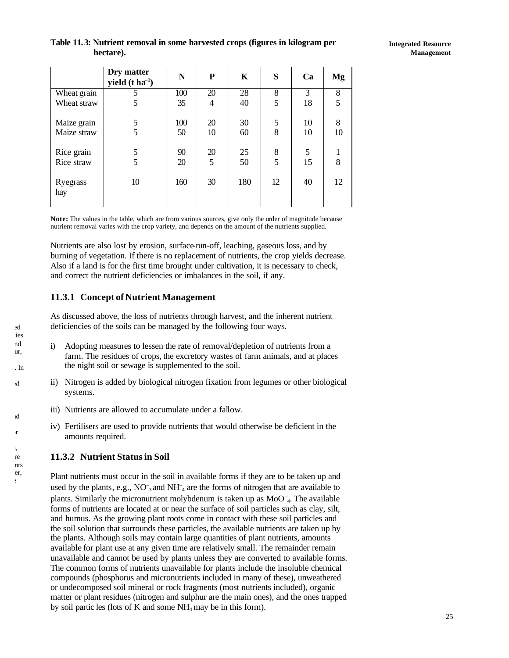## **Table 11.3: Nutrient removal in some harvested crops (figures in kilogram per hectare).**

|                 | Dry matter<br>yield $(t \, ha^{-1})$ | N   | P              | K   | S  | Ca | Mg |
|-----------------|--------------------------------------|-----|----------------|-----|----|----|----|
| Wheat grain     |                                      | 100 | 20             | 28  | 8  | 3  | 8  |
| Wheat straw     | 5                                    | 35  | $\overline{4}$ | 40  | 5  | 18 | 5  |
| Maize grain     | 5                                    | 100 | 20             | 30  | 5  | 10 | 8  |
| Maize straw     | 5                                    | 50  | 10             | 60  | 8  | 10 | 10 |
| Rice grain      | 5                                    | 90  | 20             | 25  | 8  | 5  |    |
| Rice straw      | 5                                    | 20  | 5              | 50  | 5  | 15 | 8  |
| Ryegrass<br>hay | 10                                   | 160 | 30             | 180 | 12 | 40 | 12 |

**Note:** The values in the table, which are from various sources, give only the order of magnitude because nutrient removal varies with the crop variety, and depends on the amount of the nutrients supplied.

Nutrients are also lost by erosion, surface-run-off, leaching, gaseous loss, and by burning of vegetation. If there is no replacement of nutrients, the crop yields decrease. Also if a land is for the first time brought under cultivation, it is necessary to check, and correct the nutrient deficiencies or imbalances in the soil, if any.

## **11.3.1 Concept of Nutrient Management**

As discussed above, the loss of nutrients through harvest, and the inherent nutrient deficiencies of the soils can be managed by the following four ways.

- i) Adopting measures to lessen the rate of removal/depletion of nutrients from a farm. The residues of crops, the excretory wastes of farm animals, and at places the night soil or sewage is supplemented to the soil.
- ii) Nitrogen is added by biological nitrogen fixation from legumes or other biological systems.
- iii) Nutrients are allowed to accumulate under a fallow.
- iv) Fertilisers are used to provide nutrients that would otherwise be deficient in the amounts required.

## **11.3.2 Nutrient Status in Soil**

Plant nutrients must occur in the soil in available forms if they are to be taken up and used by the plants, e.g., NO<sup>−</sup> 3 and NH<sup>−</sup> <sup>4</sup> are the forms of nitrogen that are available to plants. Similarly the micronutrient molybdenum is taken up as MoO<sup>-</sup><sub>4</sub>. The available forms of nutrients are located at or near the surface of soil particles such as clay, silt, and humus. As the growing plant roots come in contact with these soil particles and the soil solution that surrounds these particles, the available nutrients are taken up by the plants. Although soils may contain large quantities of plant nutrients, amounts available for plant use at any given time are relatively small. The remainder remain unavailable and cannot be used by plants unless they are converted to available forms. The common forms of nutrients unavailable for plants include the insoluble chemical compounds (phosphorus and micronutrients included in many of these), unweathered or undecomposed soil mineral or rock fragments (most nutrients included), organic matter or plant residues (nitrogen and sulphur are the main ones), and the ones trapped by soil partic les (lots of K and some NH4 may be in this form).

 $ed$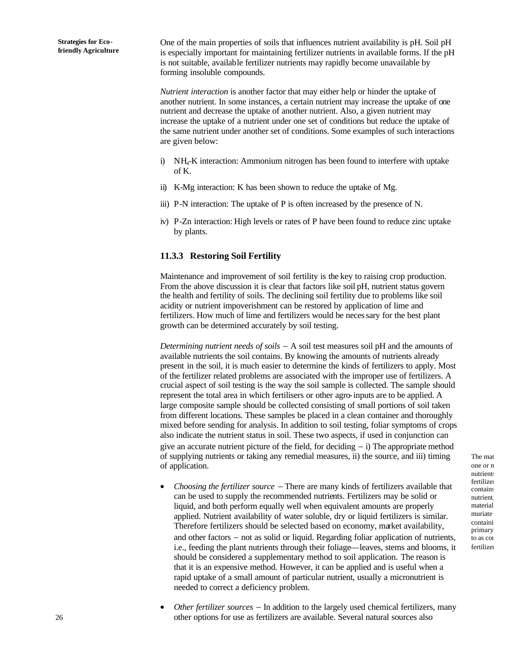One of the main properties of soils that influences nutrient availability is pH. Soil pH is especially important for maintaining fertilizer nutrients in available forms. If the pH is not suitable, available fertilizer nutrients may rapidly become unavailable by forming insoluble compounds.

*Nutrient interaction* is another factor that may either help or hinder the uptake of another nutrient. In some instances, a certain nutrient may increase the uptake of one nutrient and decrease the uptake of another nutrient. Also, a given nutrient may increase the uptake of a nutrient under one set of conditions but reduce the uptake of the same nutrient under another set of conditions. Some examples of such interactions are given below:

- i) NH4-K interaction: Ammonium nitrogen has been found to interfere with uptake of K.
- ii) K-Mg interaction: K has been shown to reduce the uptake of Mg.
- iii) P-N interaction: The uptake of P is often increased by the presence of N.
- iv) P-Zn interaction: High levels or rates of P have been found to reduce zinc uptake by plants.

## **11.3.3 Restoring Soil Fertility**

Maintenance and improvement of soil fertility is the key to raising crop production. From the above discussion it is clear that factors like soil pH, nutrient status govern the health and fertility of soils. The declining soil fertility due to problems like soil acidity or nutrient impoverishment can be restored by application of lime and fertilizers. How much of lime and fertilizers would be necessary for the best plant growth can be determined accurately by soil testing.

*Determining nutrient needs of soils* − A soil test measures soil pH and the amounts of available nutrients the soil contains. By knowing the amounts of nutrients already present in the soil, it is much easier to determine the kinds of fertilizers to apply. Most of the fertilizer related problems are associated with the improper use of fertilizers. A crucial aspect of soil testing is the way the soil sample is collected. The sample should represent the total area in which fertilisers or other agro-inputs are to be applied. A large composite sample should be collected consisting of small portions of soil taken from different locations. These samples be placed in a clean container and thoroughly mixed before sending for analysis. In addition to soil testing, foliar symptoms of crops also indicate the nutrient status in soil. These two aspects, if used in conjunction can give an accurate nutrient picture of the field, for deciding − i) The appropriate method of supplying nutrients or taking any remedial measures, ii) the source, and iii) timing of application.

- *Choosing the fertilizer source* − There are many kinds of fertilizers available that can be used to supply the recommended nutrients. Fertilizers may be solid or liquid, and both perform equally well when equivalent amounts are properly applied. Nutrient availability of water soluble, dry or liquid fertilizers is similar. Therefore fertilizers should be selected based on economy, market availability, and other factors − not as solid or liquid. Regarding foliar application of nutrients, i.e., feeding the plant nutrients through their foliage—leaves, stems and blooms, it should be considered a supplementary method to soil application. The reason is that it is an expensive method. However, it can be applied and is useful when a rapid uptake of a small amount of particular nutrient, usually a micronutrient is needed to correct a deficiency problem.
- *Other fertilizer sources* − In addition to the largely used chemical fertilizers, many other options for use as fertilizers are available. Several natural sources also

The mat one or n nutrients fertilizer contains nutrient. material muriate containi primary to as cor fertilizer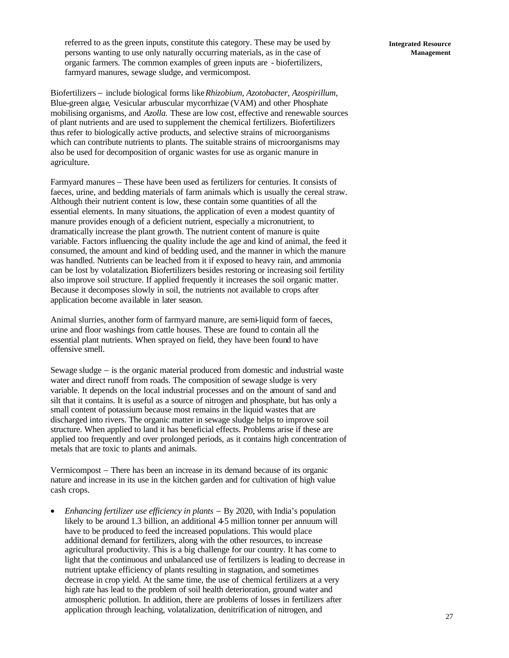referred to as the green inputs, constitute this category. These may be used by persons wanting to use only naturally occurring materials, as in the case of organic farmers. The common examples of green inputs are - biofertilizers, farmyard manures, sewage sludge, and vermicompost.

Biofertilizers − include biological forms like *Rhizobium, Azotobacter, Azospirillum,* Blue-green algae*,* Vesicular arbuscular mycorrhizae (VAM) and other Phosphate mobilising organisms, and *Azolla.* These are low cost, effective and renewable sources of plant nutrients and are used to supplement the chemical fertilizers. Biofertilizers thus refer to biologically active products, and selective strains of microorganisms which can contribute nutrients to plants. The suitable strains of microorganisms may also be used for decomposition of organic wastes for use as organic manure in agriculture.

Farmyard manures – These have been used as fertilizers for centuries. It consists of faeces, urine, and bedding materials of farm animals which is usually the cereal straw. Although their nutrient content is low, these contain some quantities of all the essential elements. In many situations, the application of even a modest quantity of manure provides enough of a deficient nutrient, especially a micronutrient, to dramatically increase the plant growth. The nutrient content of manure is quite variable. Factors influencing the quality include the age and kind of animal, the feed it consumed, the amount and kind of bedding used, and the manner in which the manure was handled. Nutrients can be leached from it if exposed to heavy rain, and ammonia can be lost by volatalization. Biofertilizers besides restoring or increasing soil fertility also improve soil structure. If applied frequently it increases the soil organic matter. Because it decomposes slowly in soil, the nutrients not available to crops after application become available in later season.

Animal slurries, another form of farmyard manure, are semi-liquid form of faeces, urine and floor washings from cattle houses. These are found to contain all the essential plant nutrients. When sprayed on field, they have been found to have offensive smell.

Sewage sludge − is the organic material produced from domestic and industrial waste water and direct runoff from roads. The composition of sewage sludge is very variable. It depends on the local industrial processes and on the amount of sand and silt that it contains. It is useful as a source of nitrogen and phosphate, but has only a small content of potassium because most remains in the liquid wastes that are discharged into rivers. The organic matter in sewage sludge helps to improve soil structure. When applied to land it has beneficial effects. Problems arise if these are applied too frequently and over prolonged periods, as it contains high concentration of metals that are toxic to plants and animals.

Vermicompost − There has been an increase in its demand because of its organic nature and increase in its use in the kitchen garden and for cultivation of high value cash crops.

• *Enhancing fertilizer use efficiency in plants* − By 2020, with India's population likely to be around 1.3 billion, an additional 4-5 million tonner per annuum will have to be produced to feed the increased populations. This would place additional demand for fertilizers, along with the other resources, to increase agricultural productivity. This is a big challenge for our country. It has come to light that the continuous and unbalanced use of fertilizers is leading to decrease in nutrient uptake efficiency of plants resulting in stagnation, and sometimes decrease in crop yield. At the same time, the use of chemical fertilizers at a very high rate has lead to the problem of soil health deterioration, ground water and atmospheric pollution. In addition, there are problems of losses in fertilizers after application through leaching, volatalization, denitrification of nitrogen, and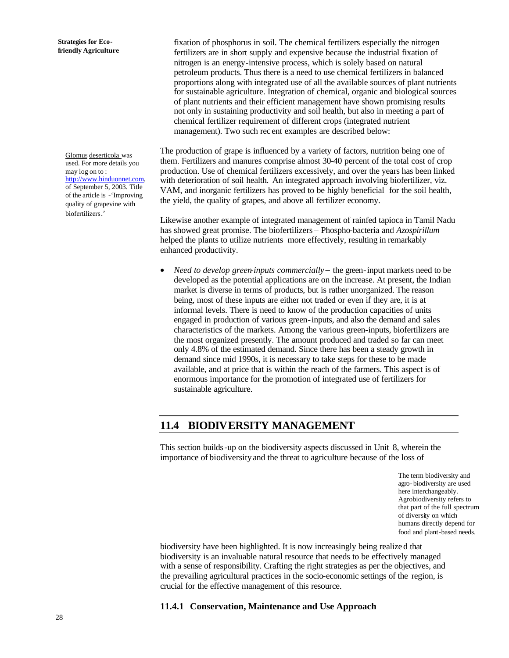Glomus deserticola was used. For more details you may log on to : http://www.hinduonnet.com, of September 5, 2003. Title of the article is -'Improving quality of grapevine with biofertilizers.'

fixation of phosphorus in soil. The chemical fertilizers especially the nitrogen fertilizers are in short supply and expensive because the industrial fixation of nitrogen is an energy-intensive process, which is solely based on natural petroleum products. Thus there is a need to use chemical fertilizers in balanced proportions along with integrated use of all the available sources of plant nutrients for sustainable agriculture. Integration of chemical, organic and biological sources of plant nutrients and their efficient management have shown promising results not only in sustaining productivity and soil health, but also in meeting a part of chemical fertilizer requirement of different crops (integrated nutrient management). Two such rec ent examples are described below:

The production of grape is influenced by a variety of factors, nutrition being one of them. Fertilizers and manures comprise almost 30-40 percent of the total cost of crop production. Use of chemical fertilizers excessively, and over the years has been linked with deterioration of soil health. An integrated approach involving biofertilizer, viz. VAM, and inorganic fertilizers has proved to be highly beneficial for the soil health, the yield, the quality of grapes, and above all fertilizer economy.

Likewise another example of integrated management of rainfed tapioca in Tamil Nadu has showed great promise. The biofertilizers – Phospho-bacteria and *Azospirillum* helped the plants to utilize nutrients more effectively, resulting in remarkably enhanced productivity.

• *Need to develop green-inputs commercially*− the green-input markets need to be developed as the potential applications are on the increase. At present, the Indian market is diverse in terms of products, but is rather unorganized. The reason being, most of these inputs are either not traded or even if they are, it is at informal levels. There is need to know of the production capacities of units engaged in production of various green-inputs, and also the demand and sales characteristics of the markets. Among the various green-inputs, biofertilizers are the most organized presently. The amount produced and traded so far can meet only 4.8% of the estimated demand. Since there has been a steady growth in demand since mid 1990s, it is necessary to take steps for these to be made available, and at price that is within the reach of the farmers. This aspect is of enormous importance for the promotion of integrated use of fertilizers for sustainable agriculture.

## **11.4 BIODIVERSITY MANAGEMENT**

This section builds-up on the biodiversity aspects discussed in Unit 8, wherein the importance of biodiversity and the threat to agriculture because of the loss of

> The term biodiversity and agro-biodiversity are used here interchangeably. Agrobiodiversity refers to that part of the full spectrum of diversity on which humans directly depend for food and plant-based needs.

biodiversity have been highlighted. It is now increasingly being realize d that biodiversity is an invaluable natural resource that needs to be effectively managed with a sense of responsibility. Crafting the right strategies as per the objectives, and the prevailing agricultural practices in the socio-economic settings of the region, is crucial for the effective management of this resource.

## **11.4.1 Conservation, Maintenance and Use Approach**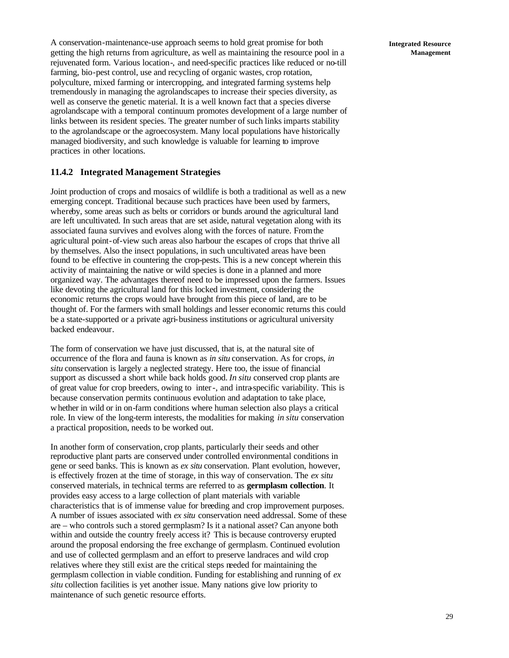A conservation-maintenance-use approach seems to hold great promise for both getting the high returns from agriculture, as well as maintaining the resource pool in a rejuvenated form. Various location-, and need-specific practices like reduced or no-till farming, bio-pest control, use and recycling of organic wastes, crop rotation, polyculture, mixed farming or intercropping, and integrated farming systems help tremendously in managing the agrolandscapes to increase their species diversity, as well as conserve the genetic material. It is a well known fact that a species diverse agrolandscape with a temporal continuum promotes development of a large number of links between its resident species. The greater number of such links imparts stability to the agrolandscape or the agroecosystem. Many local populations have historically managed biodiversity, and such knowledge is valuable for learning to improve practices in other locations.

### **11.4.2 Integrated Management Strategies**

Joint production of crops and mosaics of wildlife is both a traditional as well as a new emerging concept. Traditional because such practices have been used by farmers, whereby, some areas such as belts or corridors or bunds around the agricultural land are left uncultivated. In such areas that are set aside, natural vegetation along with its associated fauna survives and evolves along with the forces of nature. From the agricultural point-of-view such areas also harbour the escapes of crops that thrive all by themselves. Also the insect populations, in such uncultivated areas have been found to be effective in countering the crop-pests. This is a new concept wherein this activity of maintaining the native or wild species is done in a planned and more organized way. The advantages thereof need to be impressed upon the farmers. Issues like devoting the agricultural land for this locked investment, considering the economic returns the crops would have brought from this piece of land, are to be thought of. For the farmers with small holdings and lesser economic returns this could be a state-supported or a private agri-business institutions or agricultural university backed endeavour.

The form of conservation we have just discussed, that is, at the natural site of occurrence of the flora and fauna is known as *in situ* conservation. As for crops, *in situ* conservation is largely a neglected strategy. Here too, the issue of financial support as discussed a short while back holds good. *In situ* conserved crop plants are of great value for crop breeders, owing to inter-, and intra-specific variability. This is because conservation permits continuous evolution and adaptation to take place, whether in wild or in on-farm conditions where human selection also plays a critical role. In view of the long-term interests, the modalities for making *in situ* conservation a practical proposition, needs to be worked out.

In another form of conservation, crop plants, particularly their seeds and other reproductive plant parts are conserved under controlled environmental conditions in gene or seed banks. This is known as *ex situ* conservation. Plant evolution, however, is effectively frozen at the time of storage, in this way of conservation. The *ex situ* conserved materials, in technical terms are referred to as **germplasm collection**. It provides easy access to a large collection of plant materials with variable characteristics that is of immense value for breeding and crop improvement purposes. A number of issues associated with *ex situ* conservation need addressal. Some of these are – who controls such a stored germplasm? Is it a national asset? Can anyone both within and outside the country freely access it? This is because controversy erupted around the proposal endorsing the free exchange of germplasm. Continued evolution and use of collected germplasm and an effort to preserve landraces and wild crop relatives where they still exist are the critical steps needed for maintaining the germplasm collection in viable condition. Funding for establishing and running of *ex situ* collection facilities is yet another issue. Many nations give low priority to maintenance of such genetic resource efforts.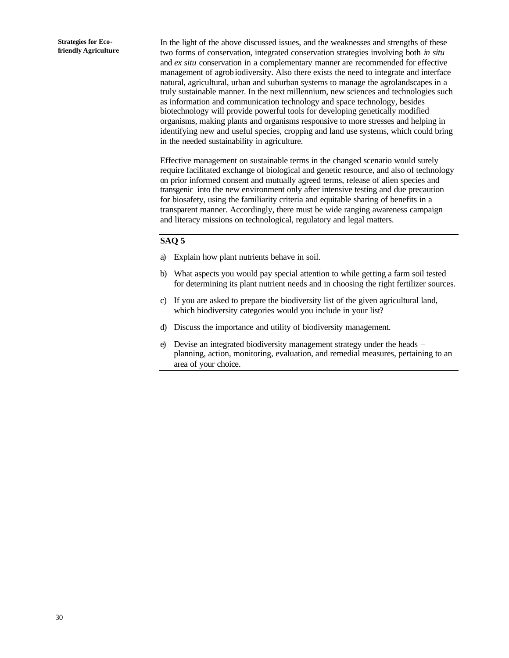In the light of the above discussed issues, and the weaknesses and strengths of these two forms of conservation, integrated conservation strategies involving both *in situ*  and *ex situ* conservation in a complementary manner are recommended for effective management of agrobiodiversity. Also there exists the need to integrate and interface natural, agricultural, urban and suburban systems to manage the agrolandscapes in a truly sustainable manner. In the next millennium, new sciences and technologies such as information and communication technology and space technology, besides biotechnology will provide powerful tools for developing genetically modified organisms, making plants and organisms responsive to more stresses and helping in identifying new and useful species, cropping and land use systems, which could bring in the needed sustainability in agriculture.

Effective management on sustainable terms in the changed scenario would surely require facilitated exchange of biological and genetic resource, and also of technology on prior informed consent and mutually agreed terms, release of alien species and transgenic into the new environment only after intensive testing and due precaution for biosafety, using the familiarity criteria and equitable sharing of benefits in a transparent manner. Accordingly, there must be wide ranging awareness campaign and literacy missions on technological, regulatory and legal matters.

#### **SAQ 5**

- a) Explain how plant nutrients behave in soil.
- b) What aspects you would pay special attention to while getting a farm soil tested for determining its plant nutrient needs and in choosing the right fertilizer sources.
- c) If you are asked to prepare the biodiversity list of the given agricultural land, which biodiversity categories would you include in your list?
- d) Discuss the importance and utility of biodiversity management.
- e) Devise an integrated biodiversity management strategy under the heads planning, action, monitoring, evaluation, and remedial measures, pertaining to an area of your choice.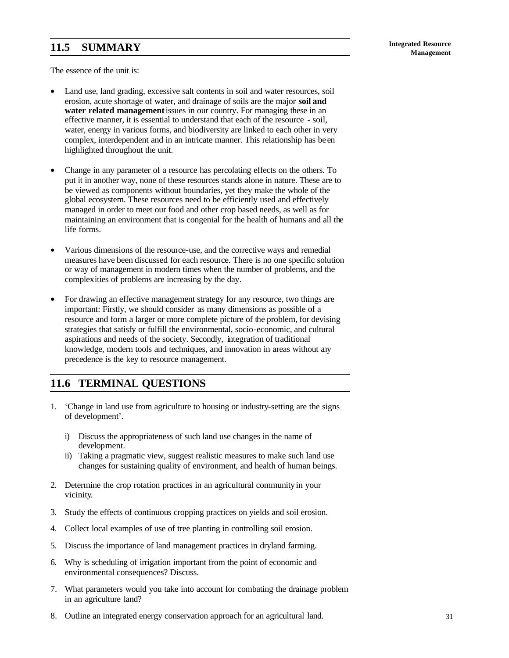# **Management 11.5 SUMMARY**

The essence of the unit is:

- Land use, land grading, excessive salt contents in soil and water resources, soil erosion, acute shortage of water, and drainage of soils are the major **soil and water related management** issues in our country. For managing these in an effective manner, it is essential to understand that each of the resource - soil, water, energy in various forms, and biodiversity are linked to each other in very complex, interdependent and in an intricate manner. This relationship has be en highlighted throughout the unit.
- Change in any parameter of a resource has percolating effects on the others. To put it in another way, none of these resources stands alone in nature. These are to be viewed as components without boundaries, yet they make the whole of the global ecosystem. These resources need to be efficiently used and effectively managed in order to meet our food and other crop based needs, as well as for maintaining an environment that is congenial for the health of humans and all the life forms.
- Various dimensions of the resource-use, and the corrective ways and remedial measures have been discussed for each resource. There is no one specific solution or way of management in modern times when the number of problems, and the complexities of problems are increasing by the day.
- For drawing an effective management strategy for any resource, two things are important: Firstly, we should consider as many dimensions as possible of a resource and form a larger or more complete picture of the problem, for devising strategies that satisfy or fulfill the environmental, socio-economic, and cultural aspirations and needs of the society. Secondly, integration of traditional knowledge, modern tools and techniques, and innovation in areas without any precedence is the key to resource management.

## **11.6 TERMINAL QUESTIONS**

- 1. 'Change in land use from agriculture to housing or industry-setting are the signs of development'.
	- i) Discuss the appropriateness of such land use changes in the name of development.
	- ii) Taking a pragmatic view, suggest realistic measures to make such land use changes for sustaining quality of environment, and health of human beings.
- 2. Determine the crop rotation practices in an agricultural community in your vicinity.
- 3. Study the effects of continuous cropping practices on yields and soil erosion.
- 4. Collect local examples of use of tree planting in controlling soil erosion.
- 5. Discuss the importance of land management practices in dryland farming.
- 6. Why is scheduling of irrigation important from the point of economic and environmental consequences? Discuss.
- 7. What parameters would you take into account for combating the drainage problem in an agriculture land?
- 8. Outline an integrated energy conservation approach for an agricultural land.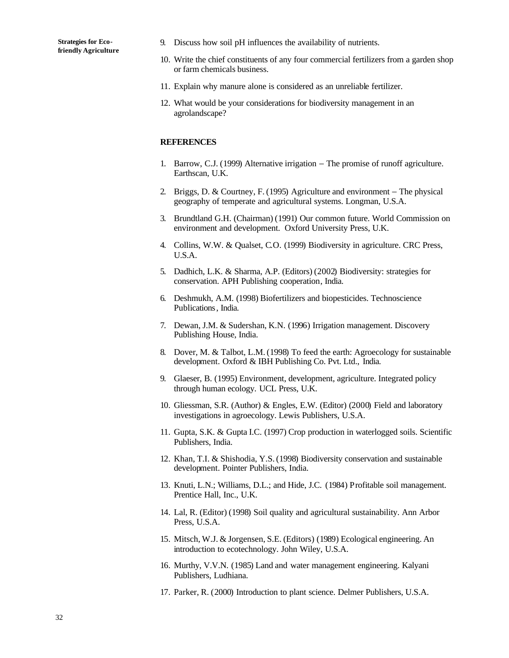- 9. Discuss how soil pH influences the availability of nutrients.
- 10. Write the chief constituents of any four commercial fertilizers from a garden shop or farm chemicals business.
- 11. Explain why manure alone is considered as an unreliable fertilizer.
- 12. What would be your considerations for biodiversity management in an agrolandscape?

#### **REFERENCES**

- 1. Barrow, C.J. (1999) Alternative irrigation − The promise of runoff agriculture. Earthscan, U.K.
- 2. Briggs, D. & Courtney, F. (1995) Agriculture and environment − The physical geography of temperate and agricultural systems. Longman, U.S.A.
- 3. Brundtland G.H. (Chairman) (1991) Our common future. World Commission on environment and development. Oxford University Press, U.K.
- 4. Collins, W.W. & Qualset, C.O. (1999) Biodiversity in agriculture. CRC Press, U.S.A.
- 5. Dadhich, L.K. & Sharma, A.P. (Editors) (2002) Biodiversity: strategies for conservation. APH Publishing cooperation, India.
- 6. Deshmukh, A.M. (1998) Biofertilizers and biopesticides. Technoscience Publications, India.
- 7. Dewan, J.M. & Sudershan, K.N. (1996) Irrigation management. Discovery Publishing House, India.
- 8. Dover, M. & Talbot, L.M. (1998) To feed the earth: Agroecology for sustainable development. Oxford & IBH Publishing Co. Pvt. Ltd., India.
- 9. Glaeser, B. (1995) Environment, development, agriculture. Integrated policy through human ecology. UCL Press, U.K.
- 10. Gliessman, S.R. (Author) & Engles, E.W. (Editor) (2000) Field and laboratory investigations in agroecology. Lewis Publishers, U.S.A.
- 11. Gupta, S.K. & Gupta I.C. (1997) Crop production in waterlogged soils. Scientific Publishers, India.
- 12. Khan, T.I. & Shishodia, Y.S. (1998) Biodiversity conservation and sustainable development. Pointer Publishers, India.
- 13. Knuti, L.N.; Williams, D.L.; and Hide, J.C. (1984) Profitable soil management. Prentice Hall, Inc., U.K.
- 14. Lal, R. (Editor) (1998) Soil quality and agricultural sustainability. Ann Arbor Press, U.S.A.
- 15. Mitsch, W.J. & Jorgensen, S.E. (Editors) (1989) Ecological engineering. An introduction to ecotechnology. John Wiley, U.S.A.
- 16. Murthy, V.V.N. (1985) Land and water management engineering. Kalyani Publishers, Ludhiana.
- 17. Parker, R. (2000) Introduction to plant science. Delmer Publishers, U.S.A.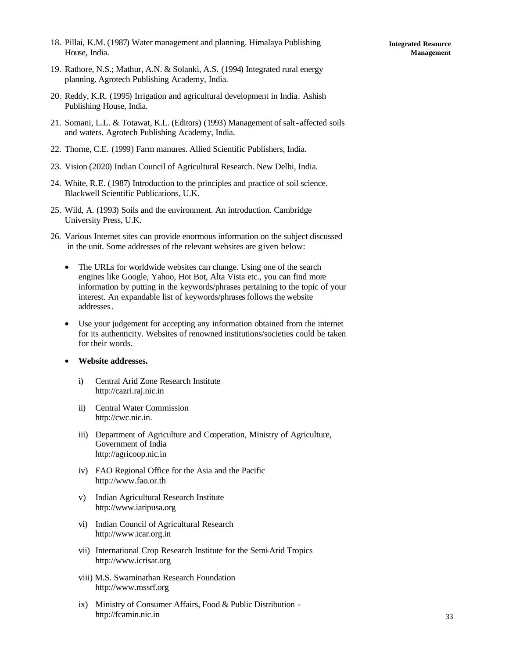18. Pillai, K.M. (1987) Water management and planning. Himalaya Publishing House, India.

- 19. Rathore, N.S.; Mathur, A.N. & Solanki, A.S. (1994) Integrated rural energy planning. Agrotech Publishing Academy, India.
- 20. Reddy, K.R. (1995) Irrigation and agricultural development in India. Ashish Publishing House, India.
- 21. Somani, L.L. & Totawat, K.L. (Editors) (1993) Management of salt-affected soils and waters. Agrotech Publishing Academy, India.
- 22. Thorne, C.E. (1999) Farm manures. Allied Scientific Publishers, India.
- 23. Vision (2020) Indian Council of Agricultural Research. New Delhi, India.
- 24. White, R.E. (1987) Introduction to the principles and practice of soil science. Blackwell Scientific Publications, U.K.
- 25. Wild, A. (1993) Soils and the environment. An introduction. Cambridge University Press, U.K.
- 26. Various Internet sites can provide enormous information on the subject discussed in the unit. Some addresses of the relevant websites are given below:
	- The URLs for worldwide websites can change. Using one of the search engines like Google, Yahoo, Hot Bot, Alta Vista etc., you can find more information by putting in the keywords/phrases pertaining to the topic of your interest. An expandable list of keywords/phrases follows the website addresses.
	- Use your judgement for accepting any information obtained from the internet for its authenticity. Websites of renowned institutions/societies could be taken for their words.
	- **Website addresses.**
		- i) Central Arid Zone Research Institute http://cazri.raj.nic.in
		- ii) Central Water Commission http://cwc.nic.in.
		- iii) Department of Agriculture and Cooperation, Ministry of Agriculture, Government of India http://agricoop.nic.in
		- iv) FAO Regional Office for the Asia and the Pacific http://www.fao.or.th
		- v) Indian Agricultural Research Institute http://www.iaripusa.org
		- vi) Indian Council of Agricultural Research http://www.icar.org.in
		- vii) International Crop Research Institute for the Semi-Arid Tropics http://www.icrisat.org
		- viii) M.S. Swaminathan Research Foundation http://www.mssrf.org
		- ix) Ministry of Consumer Affairs, Food & Public Distribution http://fcamin.nic.in